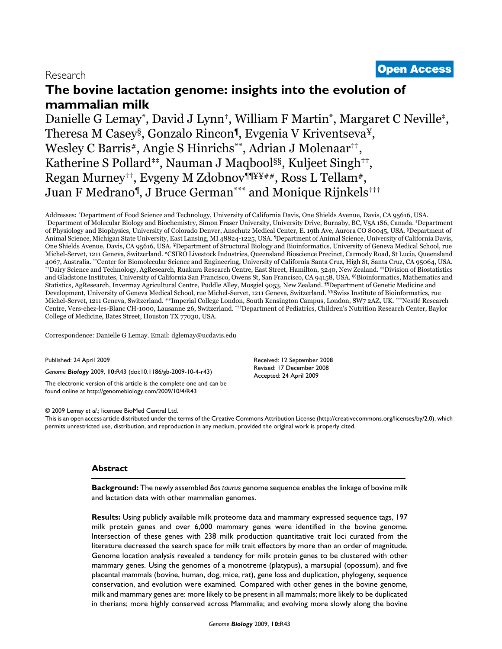# **The bovine lactation genome: insights into the evolution of mammalian milk**

Danielle G Lemay\*, David J Lynn†, William F Martin\*, Margaret C Neville‡, Theresa M Casey§, Gonzalo Rincon¶, Evgenia V Kriventseva¥, Wesley C Barris<sup>#</sup>, Angie S Hinrichs<sup>\*\*</sup>, Adrian J Molenaar<sup>††</sup>, Katherine S Pollard<sup>‡‡</sup>, Nauman J Maqbool<sup>§§</sup>, Kuljeet Singh<sup>††</sup>, Regan Murney<sup>††</sup>, Evgeny M Zdobnov<sup>¶¶¥¥##</sup>, Ross L Tellam<sup>#</sup>, Juan F Medrano¶, J Bruce German\*\*\* and Monique Rijnkels†††

Addresses: \*Department of Food Science and Technology, University of California Davis, One Shields Avenue, Davis, CA 95616, USA.<br>\*Department of Molecular Biology and Biochemistry, Simon Fraser University, University Drive, of Physiology and Biophysics, University of Colorado Denver, Anschutz Medical Center, E. 19th Ave, Aurora CO 80045, USA. §Department of Animal Science, Michigan State University, East Lansing, MI 48824-1225, USA. <sup>1</sup>Department of Animal Science, University of California Davis, One Shields Avenue, Davis, CA 95616, USA. ¥Department of Structural Biology and Bioinformatics, University of Geneva Medical School, rue Michel-Servet, 1211 Geneva, Switzerland. #CSIRO Livestock Industries, Queensland Bioscience Precinct, Carmody Road, St Lucia, Queensland 4067, Australia. \*\*Center for Biomolecular Science and Engineering, University of California Santa Cruz, High St, Santa Cruz, CA 95064, USA.<br>\*\*Dairy Science and Technology, AgResearch, Ruakura Research Centre, East Street, and Gladstone Institutes, University of California San Francisco, Owens St, San Francisco, CA 94158, USA. §§Bioinformatics, Mathematics and Statistics, AgResearch, Invermay Agricultural Centre, Puddle Alley, Mosgiel 9053, New Zealand. ¶Department of Genetic Medicine and Development, University of Geneva Medical School, rue Michel-Servet, 1211 Geneva, Switzerland. ¥¥Swiss Institute of Bioinformatics, rue Michel-Servet, 1211 Geneva, Switzerland. ##Imperial College London, South Kensington Campus, London, SW7 2AZ, UK. \*\*\*Nestlé Research Centre, Vers-chez-les-Blanc CH-1000, Lausanne 26, Switzerland. †††Department of Pediatrics, Children's Nutrition Research Center, Baylor College of Medicine, Bates Street, Houston TX 77030, USA.

Correspondence: Danielle G Lemay. Email: dglemay@ucdavis.ed[u](http://www.ncbi.nlm.nih.gov/entrez/query.fcgi?cmd=Retrieve&db=PubMed&dopt=Abstract&list_uids=19393040)

Published: 24 April 2009

*Genome Biology* 2009, **10:**R43 (doi:10.1186/gb-2009-10-4-r43)

[The electronic version of this article is the complete one and can be](http://genomebiology.com/2009/10/4/R43)  found online at http://genomebiology.com/2009/10/4/R43

Received: 12 September 2008 Revised: 17 December 2008 Accepted: 24 April 2009

© 2009 Lemay *et al*.; licensee BioMed Central Ltd.

[This is an open access article distributed under the terms of the Creative Commons Attribution License \(http://creativecommons.org/licenses/by/2.0\), which](http://creativecommons.org/licenses/by/2.0)  permits unrestricted use, distribution, and reproduction in any medium, provided the original work is properly cited.

#### **Abstract**

**Background:** The newly assembled *Bos taurus* genome sequence enables the linkage of bovine milk and lactation data with other mammalian genomes.

**Results:** Using publicly available milk proteome data and mammary expressed sequence tags, 197 milk protein genes and over 6,000 mammary genes were identified in the bovine genome. Intersection of these genes with 238 milk production quantitative trait loci curated from the literature decreased the search space for milk trait effectors by more than an order of magnitude. Genome location analysis revealed a tendency for milk protein genes to be clustered with other mammary genes. Using the genomes of a monotreme (platypus), a marsupial (opossum), and five placental mammals (bovine, human, dog, mice, rat), gene loss and duplication, phylogeny, sequence conservation, and evolution were examined. Compared with other genes in the bovine genome, milk and mammary genes are: more likely to be present in all mammals; more likely to be duplicated in therians; more highly conserved across Mammalia; and evolving more slowly along the bovine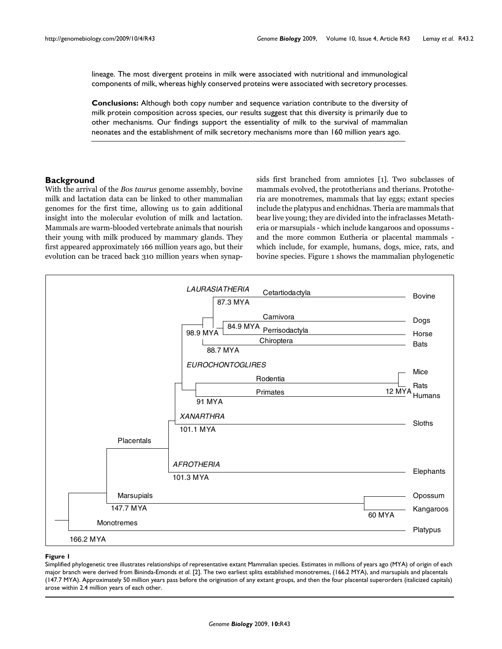lineage. The most divergent proteins in milk were associated with nutritional and immunological components of milk, whereas highly conserved proteins were associated with secretory processes.

**Conclusions:** Although both copy number and sequence variation contribute to the diversity of milk protein composition across species, our results suggest that this diversity is primarily due to other mechanisms. Our findings support the essentiality of milk to the survival of mammalian neonates and the establishment of milk secretory mechanisms more than 160 million years ago.

#### **Background**

With the arrival of the *Bos taurus* genome assembly, bovine milk and lactation data can be linked to other mammalian genomes for the first time, allowing us to gain additional insight into the molecular evolution of milk and lactation. Mammals are warm-blooded vertebrate animals that nourish their young with milk produced by mammary glands. They first appeared approximately 166 million years ago, but their evolution can be traced back 310 million years when synapsids first branched from amniotes [1]. Two subclasses of mammals evolved, the prototherians and therians. Prototheria are monotremes, mammals that lay eggs; extant species include the platypus and enchidnas. Theria are mammals that bear live young; they are divided into the infraclasses Metatheria or marsupials - which include kangaroos and opossums and the more common Eutheria or placental mammals which include, for example, humans, dogs, mice, rats, and bovine species. Figure 1 shows the mammalian phylogenetic



#### Simplified phylogenetic tree illust **Figure 1** rates relationships of representative extant Mammalian species

Simplified phylogenetic tree illustrates relationships of representative extant Mammalian species. Estimates in millions of years ago (MYA) of origin of each major branch were derived from Bininda-Emonds *et al*. [2]. The two earliest splits established monotremes, (166.2 MYA), and marsupials and placentals (147.7 MYA). Approximately 50 million years pass before the origination of any extant groups, and then the four placental superorders (italicized capitals) arose within 2.4 million years of each other.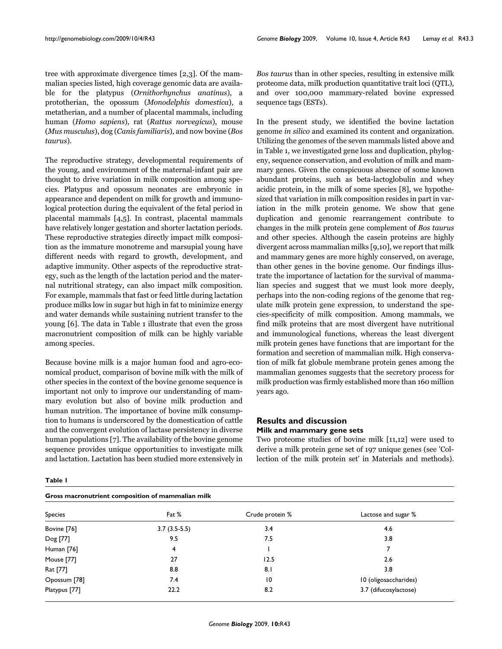tree with approximate divergence times [2,[3\]](#page-15-0). Of the mammalian species listed, high coverage genomic data are available for the platypus (*Ornithorhynchus anatinus*), a prototherian, the opossum (*Monodelphis domestica*), a metatherian, and a number of placental mammals, including human (*Homo sapiens*), rat (*Rattus norvegicus*), mouse (*Mus musculus*), dog (*Canis familiaris*), and now bovine (*Bos taurus*).

The reproductive strategy, developmental requirements of the young, and environment of the maternal-infant pair are thought to drive variation in milk composition among species. Platypus and opossum neonates are embryonic in appearance and dependent on milk for growth and immunological protection during the equivalent of the fetal period in placental mammals [4,5]. In contrast, placental mammals have relatively longer gestation and shorter lactation periods. These reproductive strategies directly impact milk composition as the immature monotreme and marsupial young have different needs with regard to growth, development, and adaptive immunity. Other aspects of the reproductive strategy, such as the length of the lactation period and the maternal nutritional strategy, can also impact milk composition. For example, mammals that fast or feed little during lactation produce milks low in sugar but high in fat to minimize energy and water demands while sustaining nutrient transfer to the young [6]. The data in Table 1 illustrate that even the gross macronutrient composition of milk can be highly variable among species.

Because bovine milk is a major human food and agro-economical product, comparison of bovine milk with the milk of other species in the context of the bovine genome sequence is important not only to improve our understanding of mammary evolution but also of bovine milk production and human nutrition. The importance of bovine milk consumption to humans is underscored by the domestication of cattle and the convergent evolution of lactase persistency in diverse human populations [7]. The availability of the bovine genome sequence provides unique opportunities to investigate milk and lactation. Lactation has been studied more extensively in

**Table 1**

**Gross macronutrient composition of mammalian milk**

*Bos taurus* than in other species, resulting in extensive milk proteome data, milk production quantitative trait loci (QTL), and over 100,000 mammary-related bovine expressed sequence tags (ESTs).

In the present study, we identified the bovine lactation genome *in silico* and examined its content and organization. Utilizing the genomes of the seven mammals listed above and in Table 1, we investigated gene loss and duplication, phylogeny, sequence conservation, and evolution of milk and mammary genes. Given the conspicuous absence of some known abundant proteins, such as beta-lactoglobulin and whey acidic protein, in the milk of some species [8], we hypothesized that variation in milk composition resides in part in variation in the milk protein genome. We show that gene duplication and genomic rearrangement contribute to changes in the milk protein gene complement of *Bos taurus* and other species. Although the casein proteins are highly divergent across mammalian milks [9,10], we report that milk and mammary genes are more highly conserved, on average, than other genes in the bovine genome. Our findings illustrate the importance of lactation for the survival of mammalian species and suggest that we must look more deeply, perhaps into the non-coding regions of the genome that regulate milk protein gene expression, to understand the species-specificity of milk composition. Among mammals, we find milk proteins that are most divergent have nutritional and immunological functions, whereas the least divergent milk protein genes have functions that are important for the formation and secretion of mammalian milk. High conservation of milk fat globule membrane protein genes among the mammalian genomes suggests that the secretory process for milk production was firmly established more than 160 million years ago.

# **Results and discussion Milk and mammary gene sets**

Two proteome studies of bovine milk [11,12] were used to derive a milk protein gene set of 197 unique genes (see 'Collection of the milk protein set' in Materials and methods).

| Oross macronutrient composition or mammanan mink |                |                 |                       |  |
|--------------------------------------------------|----------------|-----------------|-----------------------|--|
| Species                                          | Fat %          | Crude protein % | Lactose and sugar %   |  |
| Bovine [76]                                      | $3.7(3.5-5.5)$ | 3.4             | 4.6                   |  |
| Dog [77]                                         | 9.5            | 7.5             | 3.8                   |  |
| Human [76]                                       | 4              |                 |                       |  |
| Mouse [77]                                       | 27             | 12.5            | 2.6                   |  |
| Rat [77]                                         | 8.8            | 8.1             | 3.8                   |  |
| Opossum [78]                                     | 7.4            | 10              | 10 (oligosaccharides) |  |
| Platypus [77]                                    | 22.2           | 8.2             | 3.7 (difucosylactose) |  |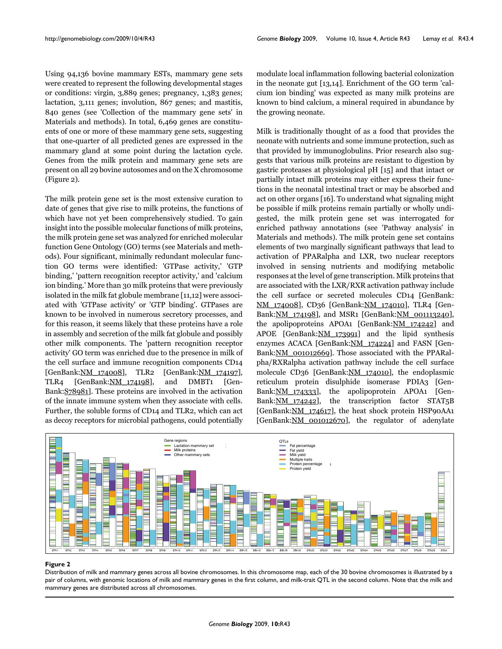Using 94,136 bovine mammary ESTs, mammary gene sets were created to represent the following developmental stages or conditions: virgin, 3,889 genes; pregnancy, 1,383 genes; lactation, 3,111 genes; involution, 867 genes; and mastitis, 840 genes (see 'Collection of the mammary gene sets' in Materials and methods). In total, 6,469 genes are constituents of one or more of these mammary gene sets, suggesting that one-quarter of all predicted genes are expressed in the mammary gland at some point during the lactation cycle. Genes from the milk protein and mammary gene sets are present on all 29 bovine autosomes and on the X chromosome (Figure 2).

The milk protein gene set is the most extensive curation to date of genes that give rise to milk proteins, the functions of which have not yet been comprehensively studied. To gain insight into the possible molecular functions of milk proteins, the milk protein gene set was analyzed for enriched molecular function Gene Ontology (GO) terms (see Materials and methods). Four significant, minimally redundant molecular function GO terms were identified: 'GTPase activity,' 'GTP binding,' 'pattern recognition receptor activity,' and 'calcium ion binding.' More than 30 milk proteins that were previously isolated in the milk fat globule membrane [11,12] were associated with 'GTPase activity' or 'GTP binding'. GTPases are known to be involved in numerous secretory processes, and for this reason, it seems likely that these proteins have a role in assembly and secretion of the milk fat globule and possibly other milk components. The 'pattern recognition receptor activity' GO term was enriched due to the presence in milk of the cell surface and immune recognition components CD14 [GenBank[:NM\\_174008\]](http://www.ncbi.nih.gov/entrez/query.fcgi?db=Nucleotide&cmd=search&term=NM_174008), TLR2 [GenBank[:NM\\_174197](http://www.ncbi.nih.gov/entrez/query.fcgi?db=Nucleotide&cmd=search&term=NM_174197)], TLR4 [GenBank:NM 174198], and DMBT1 [Gen-Bank[:S78981\]](http://www.ncbi.nih.gov/entrez/query.fcgi?db=Nucleotide&cmd=search&term=S78981). These proteins are involved in the activation of the innate immune system when they associate with cells. Further, the soluble forms of CD14 and TLR2, which can act as decoy receptors for microbial pathogens, could potentially modulate local inflammation following bacterial colonization in the neonate gut [13,14]. Enrichment of the GO term 'calcium ion binding' was expected as many milk proteins are known to bind calcium, a mineral required in abundance by the growing neonate.

Milk is traditionally thought of as a food that provides the neonate with nutrients and some immune protection, such as that provided by immunoglobulins. Prior research also suggests that various milk proteins are resistant to digestion by gastric proteases at physiological pH [15] and that intact or partially intact milk proteins may either express their functions in the neonatal intestinal tract or may be absorbed and act on other organs [16]. To understand what signaling might be possible if milk proteins remain partially or wholly undigested, the milk protein gene set was interrogated for enriched pathway annotations (see 'Pathway analysis' in Materials and methods). The milk protein gene set contains elements of two marginally significant pathways that lead to activation of PPARalpha and LXR, two nuclear receptors involved in sensing nutrients and modifying metabolic responses at the level of gene transcription. Milk proteins that are associated with the LXR/RXR activation pathway include the cell surface or secreted molecules CD14 [GenBank: [NM\\_174008\]](http://www.ncbi.nih.gov/entrez/query.fcgi?db=Nucleotide&cmd=search&term= NM_174008), CD36 [GenBank[:NM\\_174010\]](http://www.ncbi.nih.gov/entrez/query.fcgi?db=Nucleotide&cmd=search&term=NM_174010), TLR4 [Gen-Bank[:NM\\_174198](http://www.ncbi.nih.gov/entrez/query.fcgi?db=Nucleotide&cmd=search&term=NM_174198)], and MSR1 [GenBank[:NM\\_001113240](http://www.ncbi.nih.gov/entrez/query.fcgi?db=Nucleotide&cmd=search&term=NM_001113240)], the apolipoproteins APOA1 [GenBank[:NM\\_174242](http://www.ncbi.nih.gov/entrez/query.fcgi?db=Nucleotide&cmd=search&term=NM_174242)] and APOE [GenBank:[NM\\_173991](http://www.ncbi.nih.gov/entrez/query.fcgi?db=Nucleotide&cmd=search&term=NM_173991)] and the lipid synthesis enzymes ACACA [GenBank:[NM\\_174224](http://www.ncbi.nih.gov/entrez/query.fcgi?db=Nucleotide&cmd=search&term=NM_174224)] and FASN [Gen-Bank[:NM\\_001012669](http://www.ncbi.nih.gov/entrez/query.fcgi?db=Nucleotide&cmd=search&term=NM_001012669)]. Those associated with the PPARalpha/RXRalpha activation pathway include the cell surface molecule CD36 [GenBank:NM 174010], the endoplasmic reticulum protein disulphide isomerase PDIA3 [Gen-Bank[:NM\\_174333\]](http://www.ncbi.nih.gov/entrez/query.fcgi?db=Nucleotide&cmd=search&term=NM_174333), the apolipoprotein APOA1 [Gen-Bank:NM 174242], the transcription factor STAT5B [GenBank: NM 174617], the heat shock protein HSP90AA1 [GenBank:[NM\\_001012670](http://www.ncbi.nih.gov/entrez/query.fcgi?db=Nucleotide&cmd=search&term=NM_001012670)], the regulator of adenylate



#### Distribution of milk and mammary ge **Figure 2** nes across all bovine chromosomes

Distribution of milk and mammary genes across all bovine chromosomes. In this chromosome map, each of the 30 bovine chromosomes is illustrated by a pair of columns, with genomic locations of milk and mammary genes in the first column, and milk-trait QTL in the second column. Note that the milk and mammary genes are distributed across all chromosomes.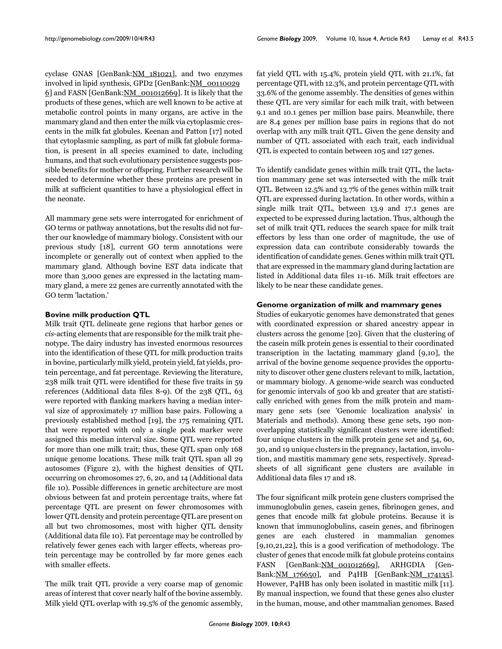cyclase GNAS [GenBank[:NM\\_181021\]](http://www.ncbi.nih.gov/entrez/query.fcgi?db=Nucleotide&cmd=search&term=NM_181021), and two enzymes involved in lipid synthesis, GPD2 [GenBank:[NM\\_00110029](http://www.ncbi.nih.gov/entrez/query.fcgi?db=Nucleotide&cmd=search&term=NM_001100296) [6](http://www.ncbi.nih.gov/entrez/query.fcgi?db=Nucleotide&cmd=search&term=NM_001100296)] and FASN [GenBank[:NM\\_001012669\]](http://www.ncbi.nih.gov/entrez/query.fcgi?db=Nucleotide&cmd=search&term=NM_001012669). It is likely that the products of these genes, which are well known to be active at metabolic control points in many organs, are active in the mammary gland and then enter the milk via cytoplasmic crescents in the milk fat globules. Keenan and Patton [17] noted that cytoplasmic sampling, as part of milk fat globule formation, is present in all species examined to date, including humans, and that such evolutionary persistence suggests possible benefits for mother or offspring. Further research will be needed to determine whether these proteins are present in milk at sufficient quantities to have a physiological effect in the neonate.

All mammary gene sets were interrogated for enrichment of GO terms or pathway annotations, but the results did not further our knowledge of mammary biology. Consistent with our previous study [18], current GO term annotations were incomplete or generally out of context when applied to the mammary gland. Although bovine EST data indicate that more than 3,000 genes are expressed in the lactating mammary gland, a mere 22 genes are currently annotated with the GO term 'lactation.'

#### **Bovine milk production QTL**

Milk trait QTL delineate gene regions that harbor genes or *cis*-acting elements that are responsible for the milk trait phenotype. The dairy industry has invested enormous resources into the identification of these QTL for milk production traits in bovine, particularly milk yield, protein yield, fat yields, protein percentage, and fat percentage. Reviewing the literature, 238 milk trait QTL were identified for these five traits in 59 references (Additional data files 8-9). Of the 238 QTL, 63 were reported with flanking markers having a median interval size of approximately 17 million base pairs. Following a previously established method [19], the 175 remaining QTL that were reported with only a single peak marker were assigned this median interval size. Some QTL were reported for more than one milk trait; thus, these QTL span only 168 unique genome locations. These milk trait QTL span all 29 autosomes (Figure 2), with the highest densities of QTL occurring on chromosomes 27, 6, 20, and 14 (Additional data file 10). Possible differences in genetic architecture are most obvious between fat and protein percentage traits, where fat percentage QTL are present on fewer chromosomes with lower QTL density and protein percentage QTL are present on all but two chromosomes, most with higher QTL density (Additional data file 10). Fat percentage may be controlled by relatively fewer genes each with larger effects, whereas protein percentage may be controlled by far more genes each with smaller effects.

The milk trait QTL provide a very coarse map of genomic areas of interest that cover nearly half of the bovine assembly. Milk yield QTL overlap with 19.5% of the genomic assembly,

fat yield QTL with 15.4%, protein yield QTL with 21.1%, fat percentage QTL with 12.3%, and protein percentage QTL with 33.6% of the genome assembly. The densities of genes within these QTL are very similar for each milk trait, with between 9.1 and 10.1 genes per million base pairs. Meanwhile, there are 8.4 genes per million base pairs in regions that do not overlap with any milk trait QTL. Given the gene density and number of QTL associated with each trait, each individual QTL is expected to contain between 105 and 127 genes.

To identify candidate genes within milk trait QTL, the lactation mammary gene set was intersected with the milk trait QTL. Between 12.5% and 13.7% of the genes within milk trait QTL are expressed during lactation. In other words, within a single milk trait QTL, between 13.9 and 17.1 genes are expected to be expressed during lactation. Thus, although the set of milk trait QTL reduces the search space for milk trait effectors by less than one order of magnitude, the use of expression data can contribute considerably towards the identification of candidate genes. Genes within milk trait QTL that are expressed in the mammary gland during lactation are listed in Additional data files 11-16. Milk trait effectors are likely to be near these candidate genes.

# **Genome organization of milk and mammary genes**

Studies of eukaryotic genomes have demonstrated that genes with coordinated expression or shared ancestry appear in clusters across the genome [20]. Given that the clustering of the casein milk protein genes is essential to their coordinated transcription in the lactating mammary gland [9,10], the arrival of the bovine genome sequence provides the opportunity to discover other gene clusters relevant to milk, lactation, or mammary biology. A genome-wide search was conducted for genomic intervals of 500 kb and greater that are statistically enriched with genes from the milk protein and mammary gene sets (see 'Genomic localization analysis' in Materials and methods). Among these gene sets, 190 nonoverlapping statistically significant clusters were identified: four unique clusters in the milk protein gene set and 54, 60, 30, and 19 unique clusters in the pregnancy, lactation, involution, and mastitis mammary gene sets, respectively. Spreadsheets of all significant gene clusters are available in Additional data files 17 and 18.

The four significant milk protein gene clusters comprised the immunoglobulin genes, casein genes, fibrinogen genes, and genes that encode milk fat globule proteins. Because it is known that immunoglobulins, casein genes, and fibrinogen genes are each clustered in mammalian genomes [9,10,21,22], this is a good verification of methodology. The cluster of genes that encode milk fat globule proteins contains FASN [GenBank:[NM\\_001012669\]](http://www.ncbi.nih.gov/entrez/query.fcgi?db=Nucleotide&cmd=search&term=NM_001012669), ARHGDIA [Gen-Bank[:NM\\_176650](http://www.ncbi.nih.gov/entrez/query.fcgi?db=Nucleotide&cmd=search&term=NM_176650)], and P4HB [GenBank[:NM\\_174135](http://www.ncbi.nih.gov/entrez/query.fcgi?db=Nucleotide&cmd=search&term=NM_174135)]. However, P4HB has only been isolated in mastitic milk [11]. By manual inspection, we found that these genes also cluster in the human, mouse, and other mammalian genomes. Based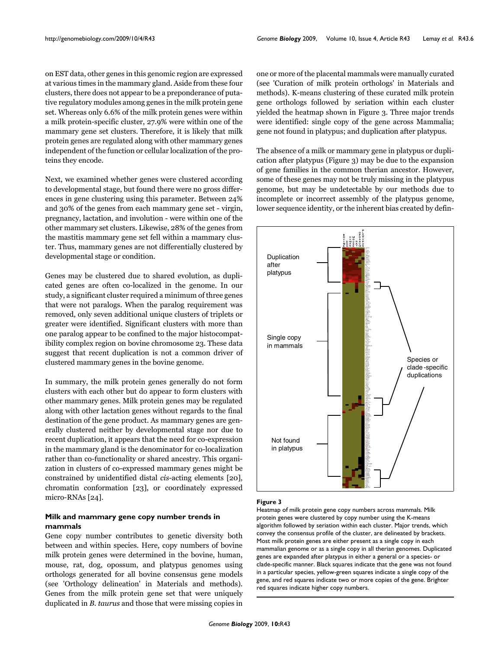on EST data, other genes in this genomic region are expressed at various times in the mammary gland. Aside from these four clusters, there does not appear to be a preponderance of putative regulatory modules among genes in the milk protein gene set. Whereas only 6.6% of the milk protein genes were within a milk protein-specific cluster, 27.9% were within one of the mammary gene set clusters. Therefore, it is likely that milk protein genes are regulated along with other mammary genes independent of the function or cellular localization of the proteins they encode.

Next, we examined whether genes were clustered according to developmental stage, but found there were no gross differences in gene clustering using this parameter. Between 24% and 30% of the genes from each mammary gene set - virgin, pregnancy, lactation, and involution - were within one of the other mammary set clusters. Likewise, 28% of the genes from the mastitis mammary gene set fell within a mammary cluster. Thus, mammary genes are not differentially clustered by developmental stage or condition.

Genes may be clustered due to shared evolution, as duplicated genes are often co-localized in the genome. In our study, a significant cluster required a minimum of three genes that were not paralogs. When the paralog requirement was removed, only seven additional unique clusters of triplets or greater were identified. Significant clusters with more than one paralog appear to be confined to the major histocompatibility complex region on bovine chromosome 23. These data suggest that recent duplication is not a common driver of clustered mammary genes in the bovine genome.

In summary, the milk protein genes generally do not form clusters with each other but do appear to form clusters with other mammary genes. Milk protein genes may be regulated along with other lactation genes without regards to the final destination of the gene product. As mammary genes are generally clustered neither by developmental stage nor due to recent duplication, it appears that the need for co-expression in the mammary gland is the denominator for co-localization rather than co-functionality or shared ancestry. This organization in clusters of co-expressed mammary genes might be constrained by unidentified distal *cis*-acting elements [20], chromatin conformation [23], or coordinately expressed micro-RNAs [\[24](#page-15-1)].

# **Milk and mammary gene copy number trends in mammals**

Gene copy number contributes to genetic diversity both between and within species. Here, copy numbers of bovine milk protein genes were determined in the bovine, human, mouse, rat, dog, opossum, and platypus genomes using orthologs generated for all bovine consensus gene models (see 'Orthology delineation' in Materials and methods). Genes from the milk protein gene set that were uniquely duplicated in *B. taurus* and those that were missing copies in

one or more of the placental mammals were manually curated (see 'Curation of milk protein orthologs' in Materials and methods). K-means clustering of these curated milk protein gene orthologs followed by seriation within each cluster yielded the heatmap shown in Figure 3. Three major trends were identified: single copy of the gene across Mammalia; gene not found in platypus; and duplication after platypus.

The absence of a milk or mammary gene in platypus or duplication after platypus (Figure 3) may be due to the expansion of gene families in the common therian ancestor. However, some of these genes may not be truly missing in the platypus genome, but may be undetectable by our methods due to incomplete or incorrect assembly of the platypus genome, lower sequence identity, or the inherent bias created by defin-



#### **Figure 3**

Heatmap of milk protein gene copy numbers across mammals. Milk protein genes were clustered by copy number using the K-means algorithm followed by seriation within each cluster. Major trends, which convey the consensus profile of the cluster, are delineated by brackets. Most milk protein genes are either present as a single copy in each mammalian genome or as a single copy in all therian genomes. Duplicated genes are expanded after platypus in either a general or a species- or clade-specific manner. Black squares indicate that the gene was not found in a particular species, yellow-green squares indicate a single copy of the gene, and red squares indicate two or more copies of the gene. Brighter red squares indicate higher copy numbers.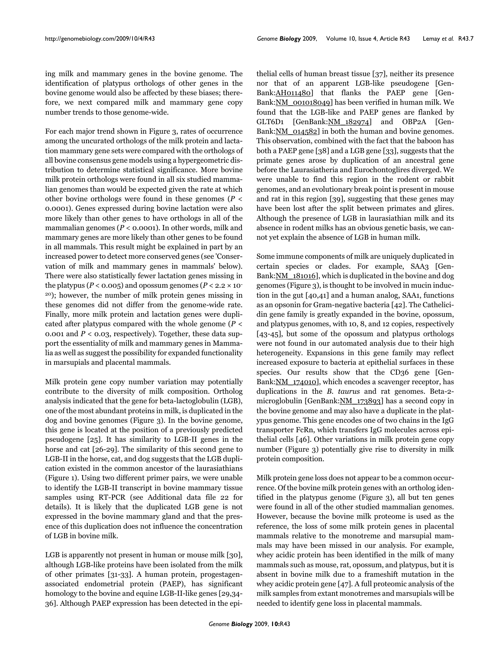ing milk and mammary genes in the bovine genome. The identification of platypus orthologs of other genes in the bovine genome would also be affected by these biases; therefore, we next compared milk and mammary gene copy number trends to those genome-wide.

For each major trend shown in Figure 3, rates of occurrence among the uncurated orthologs of the milk protein and lactation mammary gene sets were compared with the orthologs of all bovine consensus gene models using a hypergeometric distribution to determine statistical significance. More bovine milk protein orthologs were found in all six studied mammalian genomes than would be expected given the rate at which other bovine orthologs were found in these genomes (*P* < 0.0001). Genes expressed during bovine lactation were also more likely than other genes to have orthologs in all of the mammalian genomes (*P* < 0.0001). In other words, milk and mammary genes are more likely than other genes to be found in all mammals. This result might be explained in part by an increased power to detect more conserved genes (see 'Conservation of milk and mammary genes in mammals' below). There were also statistically fewer lactation genes missing in the platypus ( $P < 0.005$ ) and opossum genomes ( $P < 2.2 \times 10^{-7}$ 20); however, the number of milk protein genes missing in these genomes did not differ from the genome-wide rate. Finally, more milk protein and lactation genes were duplicated after platypus compared with the whole genome (*P* < 0.001 and *P* < 0.03, respectively). Together, these data support the essentiality of milk and mammary genes in Mammalia as well as suggest the possibility for expanded functionality in marsupials and placental mammals.

Milk protein gene copy number variation may potentially contribute to the diversity of milk composition. Ortholog analysis indicated that the gene for beta-lactoglobulin (LGB), one of the most abundant proteins in milk, is duplicated in the dog and bovine genomes (Figure 3). In the bovine genome, this gene is located at the position of a previously predicted pseudogene [25]. It has similarity to LGB-II genes in the horse and cat [26-29]. The similarity of this second gene to LGB-II in the horse, cat, and dog suggests that the LGB duplication existed in the common ancestor of the laurasiathians (Figure 1). Using two different primer pairs, we were unable to identify the LGB-II transcript in bovine mammary tissue samples using RT-PCR (see Additional data file 22 for details). It is likely that the duplicated LGB gene is not expressed in the bovine mammary gland and that the presence of this duplication does not influence the concentration of LGB in bovine milk.

LGB is apparently not present in human or mouse milk [30], although LGB-like proteins have been isolated from the milk of other primates [[31-](#page-16-0)[33\]](#page-16-1). A human protein, progestagenassociated endometrial protein (PAEP), has significant homology to the bovine and equine LGB-II-like genes [29,34- 36]. Although PAEP expression has been detected in the epithelial cells of human breast tissue [37], neither its presence nor that of an apparent LGB-like pseudogene [Gen-Bank[:AH011480](http://www.ncbi.nih.gov/entrez/query.fcgi?db=Nucleotide&cmd=search&term=AH011480)] that flanks the PAEP gene [Gen-Bank[:NM\\_001018049\]](http://www.ncbi.nih.gov/entrez/query.fcgi?db=Nucleotide&cmd=search&term=NM_001018049) has been verified in human milk. We found that the LGB-like and PAEP genes are flanked by GLT6D1 [GenBank:NM 182974] and OBP2A [Gen-Bank[:NM\\_014582](http://www.ncbi.nih.gov/entrez/query.fcgi?db=Nucleotide&cmd=search&term=NM_014582)] in both the human and bovine genomes. This observation, combined with the fact that the baboon has both a PAEP gene [\[38\]](#page-16-2) and a LGB gene [[33\]](#page-16-1), suggests that the primate genes arose by duplication of an ancestral gene before the Laurasiatheria and Eurochontoglires diverged. We were unable to find this region in the rodent or rabbit genomes, and an evolutionary break point is present in mouse and rat in this region [39], suggesting that these genes may have been lost after the split between primates and glires. Although the presence of LGB in laurasiathian milk and its absence in rodent milks has an obvious genetic basis, we cannot yet explain the absence of LGB in human milk.

Some immune components of milk are uniquely duplicated in certain species or clades. For example, SAA3 [Gen-Bank:NM 181016], which is duplicated in the bovine and dog genomes (Figure 3), is thought to be involved in mucin induction in the gut [\[40,](#page-16-3)41] and a human analog, SAA1, functions as an opsonin for Gram-negative bacteria [42]. The Cathelicidin gene family is greatly expanded in the bovine, opossum, and platypus genomes, with 10, 8, and 12 copies, respectively [43-45], but some of the opossum and platypus orthologs were not found in our automated analysis due to their high heterogeneity. Expansions in this gene family may reflect increased exposure to bacteria at epithelial surfaces in these species. Our results show that the CD36 gene [Gen-Bank[:NM\\_174010\]](http://www.ncbi.nih.gov/entrez/query.fcgi?db=Nucleotide&cmd=search&term=NM_174010), which encodes a scavenger receptor, has duplications in the *B. taurus* and rat genomes. Beta-2- microglobulin [GenBank:[NM\\_173893](http://www.ncbi.nih.gov/entrez/query.fcgi?db=Nucleotide&cmd=search&term=NM_173893)] has a second copy in the bovine genome and may also have a duplicate in the platypus genome. This gene encodes one of two chains in the IgG transporter FcRn, which transfers IgG molecules across epithelial cells [46]. Other variations in milk protein gene copy number (Figure 3) potentially give rise to diversity in milk protein composition.

Milk protein gene loss does not appear to be a common occurrence. Of the bovine milk protein genes with an ortholog identified in the platypus genome (Figure 3), all but ten genes were found in all of the other studied mammalian genomes. However, because the bovine milk proteome is used as the reference, the loss of some milk protein genes in placental mammals relative to the monotreme and marsupial mammals may have been missed in our analysis. For example, whey acidic protein has been identified in the milk of many mammals such as mouse, rat, opossum, and platypus, but it is absent in bovine milk due to a frameshift mutation in the whey acidic protein gene [47]. A full proteomic analysis of the milk samples from extant monotremes and marsupials will be needed to identify gene loss in placental mammals.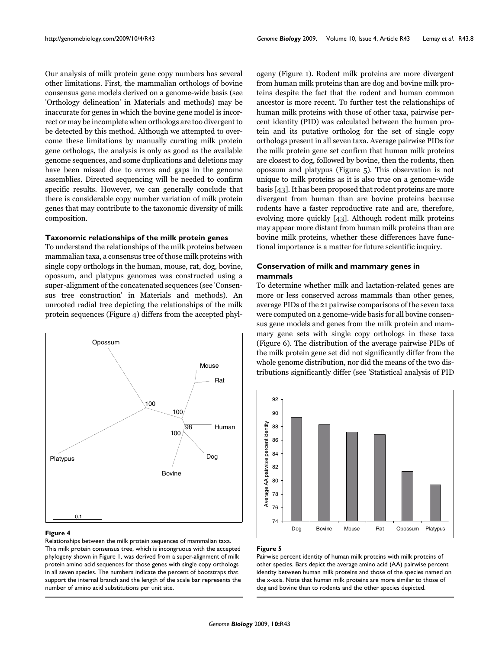Our analysis of milk protein gene copy numbers has several other limitations. First, the mammalian orthologs of bovine consensus gene models derived on a genome-wide basis (see 'Orthology delineation' in Materials and methods) may be inaccurate for genes in which the bovine gene model is incorrect or may be incomplete when orthologs are too divergent to be detected by this method. Although we attempted to overcome these limitations by manually curating milk protein gene orthologs, the analysis is only as good as the available genome sequences, and some duplications and deletions may have been missed due to errors and gaps in the genome assemblies. Directed sequencing will be needed to confirm specific results. However, we can generally conclude that there is considerable copy number variation of milk protein genes that may contribute to the taxonomic diversity of milk composition.

### **Taxonomic relationships of the milk protein genes**

To understand the relationships of the milk proteins between mammalian taxa, a consensus tree of those milk proteins with single copy orthologs in the human, mouse, rat, dog, bovine, opossum, and platypus genomes was constructed using a super-alignment of the concatenated sequences (see 'Consensus tree construction' in Materials and methods). An unrooted radial tree depicting the relationships of the milk protein sequences (Figure 4) differs from the accepted phyl-



#### Relationships between the milk protein sequences of mammalian taxa **Figure 4**

Relationships between the milk protein sequences of mammalian taxa. This milk protein consensus tree, which is incongruous with the accepted phylogeny shown in Figure 1, was derived from a super-alignment of milk protein amino acid sequences for those genes with single copy orthologs in all seven species. The numbers indicate the percent of bootstraps that support the internal branch and the length of the scale bar represents the number of amino acid substitutions per unit site.

ogeny (Figure 1). Rodent milk proteins are more divergent from human milk proteins than are dog and bovine milk proteins despite the fact that the rodent and human common ancestor is more recent. To further test the relationships of human milk proteins with those of other taxa, pairwise percent identity (PID) was calculated between the human protein and its putative ortholog for the set of single copy orthologs present in all seven taxa. Average pairwise PIDs for the milk protein gene set confirm that human milk proteins are closest to dog, followed by bovine, then the rodents, then opossum and platypus (Figure 5). This observation is not unique to milk proteins as it is also true on a genome-wide basis [43]. It has been proposed that rodent proteins are more divergent from human than are bovine proteins because rodents have a faster reproductive rate and are, therefore, evolving more quickly [43]. Although rodent milk proteins may appear more distant from human milk proteins than are bovine milk proteins, whether these differences have functional importance is a matter for future scientific inquiry.

# **Conservation of milk and mammary genes in mammals**

To determine whether milk and lactation-related genes are more or less conserved across mammals than other genes, average PIDs of the 21 pairwise comparisons of the seven taxa were computed on a genome-wide basis for all bovine consensus gene models and genes from the milk protein and mammary gene sets with single copy orthologs in these taxa (Figure 6). The distribution of the average pairwise PIDs of the milk protein gene set did not significantly differ from the whole genome distribution, nor did the means of the two distributions significantly differ (see 'Statistical analysis of PID



#### Figure 5

Pairwise percent identity of human milk proteins with milk proteins of other species. Bars depict the average amino acid (AA) pairwise percent identity between human milk proteins and those of the species named on the x-axis. Note that human milk proteins are more similar to those of dog and bovine than to rodents and the other species depicted.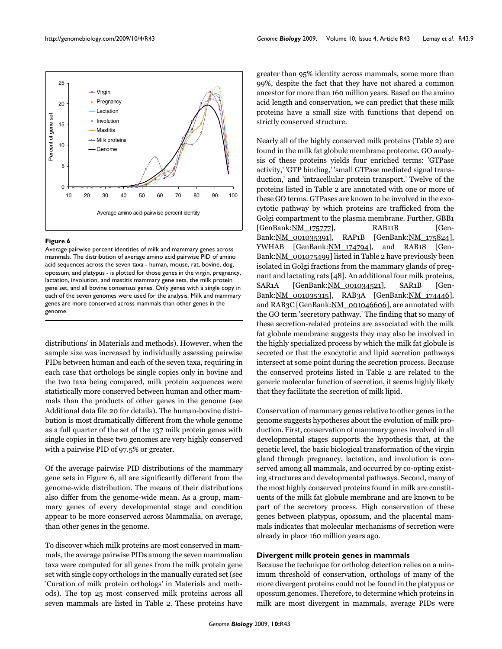

#### Figure 6

Average pairwise percent identities of milk and mammary genes across mammals. The distribution of average amino acid pairwise PID of amino acid sequences across the seven taxa - human, mouse, rat, bovine, dog, opossum, and platypus - is plotted for those genes in the virgin, pregnancy, lactation, involution, and mastitis mammary gene sets, the milk protein gene set, and all bovine consensus genes. Only genes with a single copy in each of the seven genomes were used for the analysis. Milk and mammary genes are more conserved across mammals than other genes in the genome.

distributions' in Materials and methods). However, when the sample size was increased by individually assessing pairwise PIDs between human and each of the seven taxa, requiring in each case that orthologs be single copies only in bovine and the two taxa being compared, milk protein sequences were statistically more conserved between human and other mammals than the products of other genes in the genome (see Additional data file 20 for details). The human-bovine distribution is most dramatically different from the whole genome as a full quarter of the set of the 137 milk protein genes with single copies in these two genomes are very highly conserved with a pairwise PID of 97.5% or greater.

Of the average pairwise PID distributions of the mammary gene sets in Figure 6, all are significantly different from the genome-wide distribution. The means of their distributions also differ from the genome-wide mean. As a group, mammary genes of every developmental stage and condition appear to be more conserved across Mammalia, on average, than other genes in the genome.

To discover which milk proteins are most conserved in mammals, the average pairwise PIDs among the seven mammalian taxa were computed for all genes from the milk protein gene set with single copy orthologs in the manually curated set (see 'Curation of milk protein orthologs' in Materials and methods). The top 25 most conserved milk proteins across all seven mammals are listed in Table 2. These proteins have

greater than 95% identity across mammals, some more than 99%, despite the fact that they have not shared a common ancestor for more than 160 million years. Based on the amino acid length and conservation, we can predict that these milk proteins have a small size with functions that depend on strictly conserved structure.

Nearly all of the highly conserved milk proteins (Table 2) are found in the milk fat globule membrane proteome. GO analysis of these proteins yields four enriched terms: 'GTPase activity,' 'GTP binding,' 'small GTPase mediated signal transduction,' and 'intracellular protein transport.' Twelve of the proteins listed in Table 2 are annotated with one or more of these GO terms. GTPases are known to be involved in the exocytotic pathway by which proteins are trafficked from the Golgi compartment to the plasma membrane. Further, GBB1 [GenBank: <u>[NM\\_175777\]](http://www.ncbi.nih.gov/entrez/query.fcgi?db=Nucleotide&cmd=search&term=NM_175777),</u> RAB11B [Gen-Bank[:NM\\_001035391](http://www.ncbi.nih.gov/entrez/query.fcgi?db=Nucleotide&cmd=search&term=NM_001035391)], RAP1B [GenBank:[NM\\_175824](http://www.ncbi.nih.gov/entrez/query.fcgi?db=Nucleotide&cmd=search&term=NM_175824)], YWHAB [GenBank:NM 174794], and RAB18 [Gen-Bank[:NM\\_001075499](http://www.ncbi.nih.gov/entrez/query.fcgi?db=Nucleotide&cmd=search&term=NM_001075499)] listed in Table 2 have previously been isolated in Golgi fractions from the mammary glands of pregnant and lactating rats [48]. An additional four milk proteins, SAR1A [GenBank:[NM\\_001034521](http://www.ncbi.nih.gov/entrez/query.fcgi?db=Nucleotide&cmd=search&term=NM_001034521)], SAR1B [Gen-Bank[:NM\\_001035315](http://www.ncbi.nih.gov/entrez/query.fcgi?db=Nucleotide&cmd=search&term=NM_001035315)], RAB3A [GenBank:[NM\\_174446](http://www.ncbi.nih.gov/entrez/query.fcgi?db=Nucleotide&cmd=search&term=NM_174446)], and RAB3C [GenBank[:NM\\_001046606](http://www.ncbi.nih.gov/entrez/query.fcgi?db=Nucleotide&cmd=search&term=NM_001046606)], are annotated with the GO term 'secretory pathway.' The finding that so many of these secretion-related proteins are associated with the milk fat globule membrane suggests they may also be involved in the highly specialized process by which the milk fat globule is secreted or that the exocytotic and lipid secretion pathways intersect at some point during the secretion process. Because the conserved proteins listed in Table 2 are related to the generic molecular function of secretion, it seems highly likely that they facilitate the secretion of milk lipid.

Conservation of mammary genes relative to other genes in the genome suggests hypotheses about the evolution of milk production. First, conservation of mammary genes involved in all developmental stages supports the hypothesis that, at the genetic level, the basic biological transformation of the virgin gland through pregnancy, lactation, and involution is conserved among all mammals, and occurred by co-opting existing structures and developmental pathways. Second, many of the most highly conserved proteins found in milk are constituents of the milk fat globule membrane and are known to be part of the secretory process. High conservation of these genes between platypus, opossum, and the placental mammals indicates that molecular mechanisms of secretion were already in place 160 million years ago.

#### **Divergent milk protein genes in mammals**

Because the technique for ortholog detection relies on a minimum threshold of conservation, orthologs of many of the more divergent proteins could not be found in the platypus or opossum genomes. Therefore, to determine which proteins in milk are most divergent in mammals, average PIDs were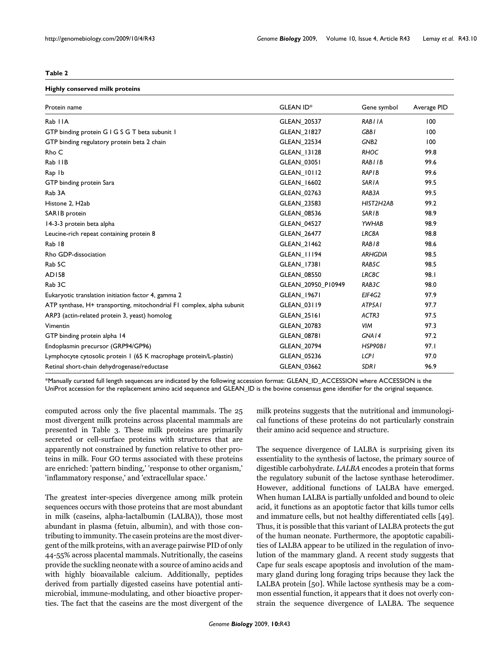# **Table 2**

#### **Highly conserved milk proteins**

| Protein name                                                           | <b>GLEAN ID*</b>   | Gene symbol        | Average PID |
|------------------------------------------------------------------------|--------------------|--------------------|-------------|
| Rab IIA                                                                | <b>GLEAN 20537</b> | RAB <sub>IIA</sub> | 100         |
| GTP binding protein G I G S G T beta subunit I                         | GLEAN_21827        | <b>GBB1</b>        | 100         |
| GTP binding regulatory protein beta 2 chain                            | GLEAN_22534        | GNB <sub>2</sub>   | 100         |
| Rho C                                                                  | <b>GLEAN 13128</b> | <b>RHOC</b>        | 99.8        |
| Rab IIB                                                                | <b>GLEAN 03051</b> | RAB <sub>IIB</sub> | 99.6        |
| Rap Ib                                                                 | <b>GLEAN 10112</b> | <b>RAPIB</b>       | 99.6        |
| GTP binding protein Sara                                               | GLEAN_16602        | <b>SARIA</b>       | 99.5        |
| Rab 3A                                                                 | <b>GLEAN 02763</b> | RAB3A              | 99.5        |
| Histone 2, H2ab                                                        | <b>GLEAN 23583</b> | HIST2H2AB          | 99.2        |
| SARIB protein                                                          | <b>GLEAN 08536</b> | <b>SARIB</b>       | 98.9        |
| 14-3-3 protein beta alpha                                              | <b>GLEAN 04527</b> | <b>YWHAB</b>       | 98.9        |
| Leucine-rich repeat containing protein 8                               | <b>GLEAN 26477</b> | LRC8A              | 98.8        |
| Rab 18                                                                 | <b>GLEAN 21462</b> | RAB <sub>18</sub>  | 98.6        |
| Rho GDP-dissociation                                                   | GLEAN 11194        | <b>ARHGDIA</b>     | 98.5        |
| Rab 5C                                                                 | GLEAN 17381        | RAB5C              | 98.5        |
| AD158                                                                  | <b>GLEAN 08550</b> | LRC8C              | 98.I        |
| Rab 3C                                                                 | GLEAN 20950 P10949 | RAB3C              | 98.0        |
| Eukaryotic translation initiation factor 4, gamma 2                    | GLEAN 19671        | EIF4G2             | 97.9        |
| ATP synthase, H+ transporting, mitochondrial F1 complex, alpha subunit | <b>GLEAN 03119</b> | ATP5A1             | 97.7        |
| ARP3 (actin-related protein 3, yeast) homolog                          | <b>GLEAN 25161</b> | ACTR3              | 97.5        |
| Vimentin                                                               | <b>GLEAN 20783</b> | VIM                | 97.3        |
| GTP binding protein alpha 14                                           | <b>GLEAN 08781</b> | GNA14              | 97.2        |
| Endoplasmin precursor (GRP94/GP96)                                     | <b>GLEAN 20794</b> | HSP90BI            | 97.I        |
| Lymphocyte cytosolic protein 1 (65 K macrophage protein/L-plastin)     | <b>GLEAN 05236</b> | <b>LCPI</b>        | 97.0        |
| Retinal short-chain dehydrogenase/reductase                            | <b>GLEAN 03662</b> | <b>SDRI</b>        | 96.9        |

\*Manually curated full length sequences are indicated by the following accession format: GLEAN\_ID\_ACCESSION where ACCESSION is the UniProt accession for the replacement amino acid sequence and GLEAN\_ID is the bovine consensus gene identifier for the original sequence.

computed across only the five placental mammals. The 25 most divergent milk proteins across placental mammals are presented in Table 3. These milk proteins are primarily secreted or cell-surface proteins with structures that are apparently not constrained by function relative to other proteins in milk. Four GO terms associated with these proteins are enriched: 'pattern binding,' 'response to other organism,' 'inflammatory response,' and 'extracellular space.'

The greatest inter-species divergence among milk protein sequences occurs with those proteins that are most abundant in milk (caseins, alpha-lactalbumin (LALBA)), those most abundant in plasma (fetuin, albumin), and with those contributing to immunity. The casein proteins are the most divergent of the milk proteins, with an average pairwise PID of only 44-55% across placental mammals. Nutritionally, the caseins provide the suckling neonate with a source of amino acids and with highly bioavailable calcium. Additionally, peptides derived from partially digested caseins have potential antimicrobial, immune-modulating, and other bioactive properties. The fact that the caseins are the most divergent of the

milk proteins suggests that the nutritional and immunological functions of these proteins do not particularly constrain their amino acid sequence and structure.

The sequence divergence of LALBA is surprising given its essentiality to the synthesis of lactose, the primary source of digestible carbohydrate. *LALBA* encodes a protein that forms the regulatory subunit of the lactose synthase heterodimer. However, additional functions of LALBA have emerged. When human LALBA is partially unfolded and bound to oleic acid, it functions as an apoptotic factor that kills tumor cells and immature cells, but not healthy differentiated cells [49]. Thus, it is possible that this variant of LALBA protects the gut of the human neonate. Furthermore, the apoptotic capabilities of LALBA appear to be utilized in the regulation of involution of the mammary gland. A recent study suggests that Cape fur seals escape apoptosis and involution of the mammary gland during long foraging trips because they lack the LALBA protein [50]. While lactose synthesis may be a common essential function, it appears that it does not overly constrain the sequence divergence of LALBA. The sequence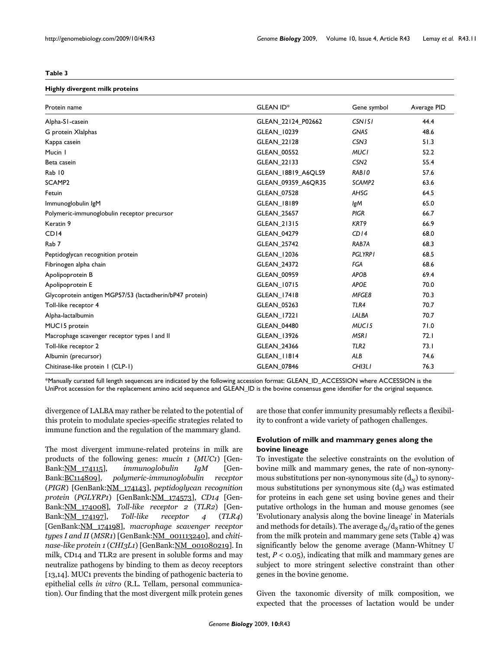# **Table 3**

#### **Highly divergent milk proteins**

| Protein name                                             | <b>GLEAN ID*</b>   | Gene symbol        | Average PID |
|----------------------------------------------------------|--------------------|--------------------|-------------|
| Alpha-SI-casein                                          | GLEAN_22124_P02662 | <b>CSNISI</b>      | 44.4        |
| G protein Xlalphas                                       | <b>GLEAN 10239</b> | <b>GNAS</b>        | 48.6        |
| Kappa casein                                             | GLEAN_22128        | CSN <sub>3</sub>   | 51.3        |
| Mucin I                                                  | <b>GLEAN 00552</b> | <b>MUCI</b>        | 52.2        |
| Beta casein                                              | <b>GLEAN 22133</b> | CSN <sub>2</sub>   | 55.4        |
| Rab <sub>10</sub>                                        | GLEAN_18819_A6QLS9 | RAB <sub>10</sub>  | 57.6        |
| SCAMP <sub>2</sub>                                       | GLEAN_09359_A6QR35 | SCAMP <sub>2</sub> | 63.6        |
| Fetuin                                                   | <b>GLEAN 07528</b> | AHSG               | 64.5        |
| Immunoglobulin IgM                                       | <b>GLEAN 18189</b> | lgM                | 65.0        |
| Polymeric-immunoglobulin receptor precursor              | <b>GLEAN 25657</b> | <b>PIGR</b>        | 66.7        |
| Keratin 9                                                | <b>GLEAN 21315</b> | KRT9               | 66.9        |
| CDI4                                                     | GLEAN_04279        | CDI4               | 68.0        |
| Rab 7                                                    | <b>GLEAN 25742</b> | RAB7A              | 68.3        |
| Peptidoglycan recognition protein                        | <b>GLEAN 12036</b> | <b>PGLYRP1</b>     | 68.5        |
| Fibrinogen alpha chain                                   | <b>GLEAN 24372</b> | <b>FGA</b>         | 68.6        |
| Apolipoprotein B                                         | <b>GLEAN 00959</b> | <b>APOB</b>        | 69.4        |
| Apolipoprotein E                                         | <b>GLEAN 10715</b> | <b>APOE</b>        | 70.0        |
| Glycoprotein antigen MGP57/53 (lactadherin/bP47 protein) | <b>GLEAN 17418</b> | MFGE8              | 70.3        |
| Toll-like receptor 4                                     | <b>GLEAN 05263</b> | TLR4               | 70.7        |
| Alpha-lactalbumin                                        | <b>GLEAN 17221</b> | LALBA              | 70.7        |
| MUC15 protein                                            | <b>GLEAN 04480</b> | MUC <sub>15</sub>  | 71.0        |
| Macrophage scavenger receptor types I and II             | <b>GLEAN 13926</b> | <b>MSRI</b>        | 72.1        |
| Toll-like receptor 2                                     | <b>GLEAN 24366</b> | TLR <sub>2</sub>   | 73.1        |
| Albumin (precursor)                                      | GLEAN 11814        | ALB                | 74.6        |
| Chitinase-like protein I (CLP-1)                         | <b>GLEAN 07846</b> | CHI3L1             | 76.3        |

\*Manually curated full length sequences are indicated by the following accession format: GLEAN\_ID\_ACCESSION where ACCESSION is the UniProt accession for the replacement amino acid sequence and GLEAN\_ID is the bovine consensus gene identifier for the original sequence.

divergence of LALBA may rather be related to the potential of this protein to modulate species-specific strategies related to immune function and the regulation of the mammary gland.

The most divergent immune-related proteins in milk are products of the following genes: *mucin 1* (*MUC1*) [Gen-Bank[:NM\\_174115](http://www.ncbi.nih.gov/entrez/query.fcgi?db=Nucleotide&cmd=search&term=NM_174115)], *immunoglobulin IgM* [Gen-Bank[:BC114809\]](http://www.ncbi.nih.gov/entrez/query.fcgi?db=Nucleotide&cmd=search&term=BC114809), *polymeric-immunoglobulin receptor* (*PIGR*) [GenBank[:NM\\_174143\]](http://www.ncbi.nih.gov/entrez/query.fcgi?db=Nucleotide&cmd=search&term=NM_174143), *peptidoglycan recognition protein* (*PGLYRP1*) [GenBank[:NM\\_174573\]](http://www.ncbi.nih.gov/entrez/query.fcgi?db=Nucleotide&cmd=search&term=NM_174573), *CD14* [Gen-Bank[:NM\\_174008](http://www.ncbi.nih.gov/entrez/query.fcgi?db=Nucleotide&cmd=search&term=NM_174008)], *Toll-like receptor 2* (*TLR2*) [Gen-Bank[:NM\\_174197](http://www.ncbi.nih.gov/entrez/query.fcgi?db=Nucleotide&cmd=search&term=NM_174197)], *Toll-like receptor 4* (*TLR4*) [GenBank[:NM\\_174198\]](http://www.ncbi.nih.gov/entrez/query.fcgi?db=Nucleotide&cmd=search&term=NM_174198), *macrophage scavenger receptor types I and II* (*MSR1*) [GenBank[:NM\\_001113240](http://www.ncbi.nih.gov/entrez/query.fcgi?db=Nucleotide&cmd=search&term=NM_001113240)], and *chitinase-like protein 1* (*CHI3L1*) [GenBank[:NM\\_001080219](http://www.ncbi.nih.gov/entrez/query.fcgi?db=Nucleotide&cmd=search&term=NM_001080219)]. In milk, CD14 and TLR2 are present in soluble forms and may neutralize pathogens by binding to them as decoy receptors [13,14]. MUC1 prevents the binding of pathogenic bacteria to epithelial cells *in vitro* (R.L. Tellam, personal communication). Our finding that the most divergent milk protein genes

are those that confer immunity presumably reflects a flexibility to confront a wide variety of pathogen challenges.

# **Evolution of milk and mammary genes along the bovine lineage**

To investigate the selective constraints on the evolution of bovine milk and mammary genes, the rate of non-synonymous substitutions per non-synonymous site  $(d_N)$  to synonymous substitutions per synonymous site  $(d_s)$  was estimated for proteins in each gene set using bovine genes and their putative orthologs in the human and mouse genomes (see 'Evolutionary analysis along the bovine lineage' in Materials and methods for details). The average  $d_N/d_S$  ratio of the genes from the milk protein and mammary gene sets (Table 4) was significantly below the genome average (Mann-Whitney U test,  $P < 0.05$ ), indicating that milk and mammary genes are subject to more stringent selective constraint than other genes in the bovine genome.

Given the taxonomic diversity of milk composition, we expected that the processes of lactation would be under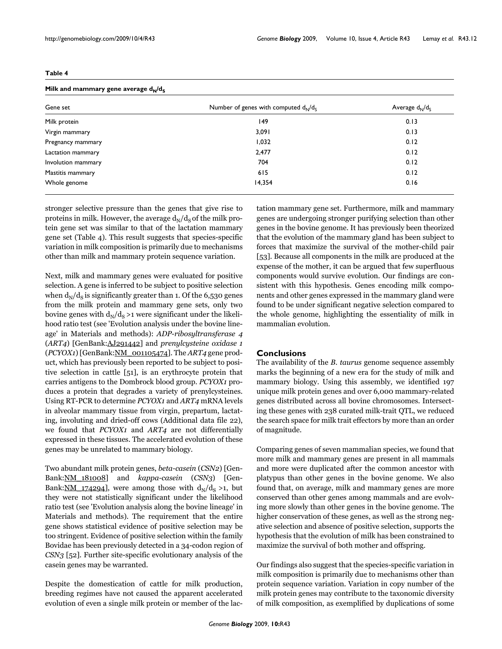# **Table 4**

#### Milk and mammary gene average d<sub>N</sub>/d<sub>S</sub>

| Gene set           | Number of genes with computed $d_N/d_S$ | Average $d_N/d_S$ |
|--------------------|-----------------------------------------|-------------------|
| Milk protein       | 149                                     | 0.13              |
| Virgin mammary     | 3,091                                   | 0.13              |
| Pregnancy mammary  | 1,032                                   | 0.12              |
| Lactation mammary  | 2,477                                   | 0.12              |
| Involution mammary | 704                                     | 0.12              |
| Mastitis mammary   | 615                                     | 0.12              |
| Whole genome       | 14,354                                  | 0.16              |

stronger selective pressure than the genes that give rise to proteins in milk. However, the average  $d_N/d_S$  of the milk protein gene set was similar to that of the lactation mammary gene set (Table 4). This result suggests that species-specific variation in milk composition is primarily due to mechanisms other than milk and mammary protein sequence variation.

Next, milk and mammary genes were evaluated for positive selection. A gene is inferred to be subject to positive selection when  $d_N/d_S$  is significantly greater than 1. Of the 6,530 genes from the milk protein and mammary gene sets, only two bovine genes with  $d_N/d_S > 1$  were significant under the likelihood ratio test (see 'Evolution analysis under the bovine lineage' in Materials and methods): *ADP-ribosyltransferase 4* (*ART4*) [GenBank[:AJ291442\]](http://www.ncbi.nih.gov/entrez/query.fcgi?db=Nucleotide&cmd=search&term=AJ291442) and *prenylcysteine oxidase 1* (*PCYOX1*) [GenBank[:NM\\_001105474\]](http://www.ncbi.nih.gov/entrez/query.fcgi?db=Nucleotide&cmd=search&term=NM_001105474). The *ART4* gene product, which has previously been reported to be subject to positive selection in cattle [51], is an erythrocyte protein that carries antigens to the Dombrock blood group. *PCYOX1* produces a protein that degrades a variety of prenylcysteines. Using RT-PCR to determine *PCYOX1* and *ART4* mRNA levels in alveolar mammary tissue from virgin, prepartum, lactating, involuting and dried-off cows (Additional data file 22), we found that *PCYOX1* and *ART4* are not differentially expressed in these tissues. The accelerated evolution of these genes may be unrelated to mammary biology.

Two abundant milk protein genes, *beta-casein* (*CSN2*) [Gen-Bank[:NM\\_181008\]](http://www.ncbi.nih.gov/entrez/query.fcgi?db=Nucleotide&cmd=search&term=NM_181008) and *kappa-casein* (*CSN3*) [Gen-Bank[:NM\\_174294](http://www.ncbi.nih.gov/entrez/query.fcgi?db=Nucleotide&cmd=search&term=NM_174294)], were among those with  $d_N/d_S > 1$ , but they were not statistically significant under the likelihood ratio test (see 'Evolution analysis along the bovine lineage' in Materials and methods). The requirement that the entire gene shows statistical evidence of positive selection may be too stringent. Evidence of positive selection within the family Bovidae has been previously detected in a 34-codon region of *CSN3* [52]. Further site-specific evolutionary analysis of the casein genes may be warranted.

Despite the domestication of cattle for milk production, breeding regimes have not caused the apparent accelerated evolution of even a single milk protein or member of the lactation mammary gene set. Furthermore, milk and mammary genes are undergoing stronger purifying selection than other genes in the bovine genome. It has previously been theorized that the evolution of the mammary gland has been subject to forces that maximize the survival of the mother-child pair [53]. Because all components in the milk are produced at the expense of the mother, it can be argued that few superfluous components would survive evolution. Our findings are consistent with this hypothesis. Genes encoding milk components and other genes expressed in the mammary gland were found to be under significant negative selection compared to the whole genome, highlighting the essentiality of milk in mammalian evolution.

# **Conclusions**

The availability of the *B. taurus* genome sequence assembly marks the beginning of a new era for the study of milk and mammary biology. Using this assembly, we identified 197 unique milk protein genes and over 6,000 mammary-related genes distributed across all bovine chromosomes. Intersecting these genes with 238 curated milk-trait QTL, we reduced the search space for milk trait effectors by more than an order of magnitude.

Comparing genes of seven mammalian species, we found that more milk and mammary genes are present in all mammals and more were duplicated after the common ancestor with platypus than other genes in the bovine genome. We also found that, on average, milk and mammary genes are more conserved than other genes among mammals and are evolving more slowly than other genes in the bovine genome. The higher conservation of these genes, as well as the strong negative selection and absence of positive selection, supports the hypothesis that the evolution of milk has been constrained to maximize the survival of both mother and offspring.

Our findings also suggest that the species-specific variation in milk composition is primarily due to mechanisms other than protein sequence variation. Variation in copy number of the milk protein genes may contribute to the taxonomic diversity of milk composition, as exemplified by duplications of some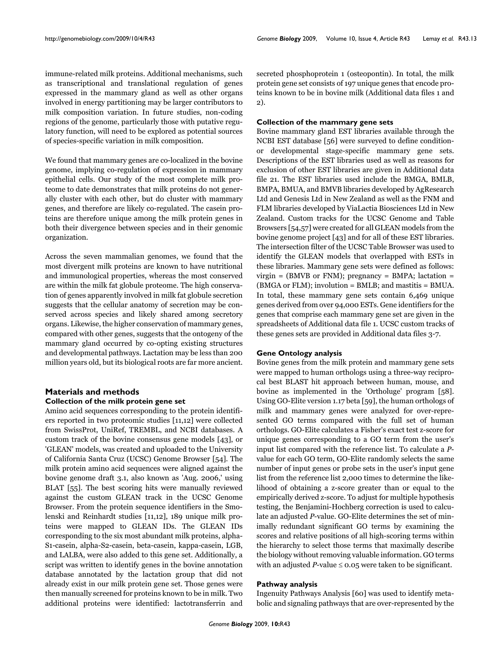immune-related milk proteins. Additional mechanisms, such as transcriptional and translational regulation of genes expressed in the mammary gland as well as other organs involved in energy partitioning may be larger contributors to milk composition variation. In future studies, non-coding regions of the genome, particularly those with putative regulatory function, will need to be explored as potential sources of species-specific variation in milk composition.

We found that mammary genes are co-localized in the bovine genome, implying co-regulation of expression in mammary epithelial cells. Our study of the most complete milk proteome to date demonstrates that milk proteins do not generally cluster with each other, but do cluster with mammary genes, and therefore are likely co-regulated. The casein proteins are therefore unique among the milk protein genes in both their divergence between species and in their genomic organization.

Across the seven mammalian genomes, we found that the most divergent milk proteins are known to have nutritional and immunological properties, whereas the most conserved are within the milk fat globule proteome. The high conservation of genes apparently involved in milk fat globule secretion suggests that the cellular anatomy of secretion may be conserved across species and likely shared among secretory organs. Likewise, the higher conservation of mammary genes, compared with other genes, suggests that the ontogeny of the mammary gland occurred by co-opting existing structures and developmental pathways. Lactation may be less than 200 million years old, but its biological roots are far more ancient.

# **Materials and methods Collection of the milk protein gene set**

Amino acid sequences corresponding to the protein identifiers reported in two proteomic studies [11,12] were collected from SwissProt, UniRef, TREMBL, and NCBI databases. A custom track of the bovine consensus gene models [43], or 'GLEAN' models, was created and uploaded to the University of California Santa Cruz (UCSC) Genome Browser [54]. The milk protein amino acid sequences were aligned against the bovine genome draft 3.1, also known as 'Aug. 2006,' using BLAT [55]. The best scoring hits were manually reviewed against the custom GLEAN track in the UCSC Genome Browser. From the protein sequence identifiers in the Smolenski and Reinhardt studies [11,12], 189 unique milk proteins were mapped to GLEAN IDs. The GLEAN IDs corresponding to the six most abundant milk proteins, alpha-S1-casein, alpha-S2-casein, beta-casein, kappa-casein, LGB, and LALBA, were also added to this gene set. Additionally, a script was written to identify genes in the bovine annotation database annotated by the lactation group that did not already exist in our milk protein gene set. Those genes were then manually screened for proteins known to be in milk. Two additional proteins were identified: lactotransferrin and secreted phosphoprotein 1 (osteopontin). In total, the milk protein gene set consists of 197 unique genes that encode proteins known to be in bovine milk (Additional data files 1 and 2).

#### **Collection of the mammary gene sets**

Bovine mammary gland EST libraries available through the NCBI EST database [56] were surveyed to define conditionor developmental stage-specific mammary gene sets. Descriptions of the EST libraries used as well as reasons for exclusion of other EST libraries are given in Additional data file 21. The EST libraries used include the BMGA, BMLB, BMPA, BMUA, and BMVB libraries developed by AgResearch Ltd and Genesis Ltd in New Zealand as well as the FNM and FLM libraries developed by ViaLactia Biosciences Ltd in New Zealand. Custom tracks for the UCSC Genome and Table Browsers [54,57] were created for all GLEAN models from the bovine genome project [43] and for all of these EST libraries. The intersection filter of the UCSC Table Browser was used to identify the GLEAN models that overlapped with ESTs in these libraries. Mammary gene sets were defined as follows:  $virgin = (BMVB \, or \, FNM); \, pregnancy = BMPA; \, lactation =$ (BMGA or FLM); involution = BMLB; and mastitis = BMUA. In total, these mammary gene sets contain 6,469 unique genes derived from over 94,000 ESTs. Gene identifiers for the genes that comprise each mammary gene set are given in the spreadsheets of Additional data file 1. UCSC custom tracks of these genes sets are provided in Additional data files 3-7.

#### **Gene Ontology analysis**

Bovine genes from the milk protein and mammary gene sets were mapped to human orthologs using a three-way reciprocal best BLAST hit approach between human, mouse, and bovine as implemented in the 'Ortholuge' program [58]. Using GO-Elite version 1.17 beta [59], the human orthologs of milk and mammary genes were analyzed for over-represented GO terms compared with the full set of human orthologs. GO-Elite calculates a Fisher's exact test z-score for unique genes corresponding to a GO term from the user's input list compared with the reference list. To calculate a *P*value for each GO term, GO-Elite randomly selects the same number of input genes or probe sets in the user's input gene list from the reference list 2,000 times to determine the likelihood of obtaining a z-score greater than or equal to the empirically derived z-score. To adjust for multiple hypothesis testing, the Benjamini-Hochberg correction is used to calculate an adjusted *P*-value. GO-Elite determines the set of minimally redundant significant GO terms by examining the scores and relative positions of all high-scoring terms within the hierarchy to select those terms that maximally describe the biology without removing valuable information. GO terms with an adjusted  $P$ -value  $\leq$  0.05 were taken to be significant.

#### **Pathway analysis**

Ingenuity Pathways Analysis [60] was used to identify metabolic and signaling pathways that are over-represented by the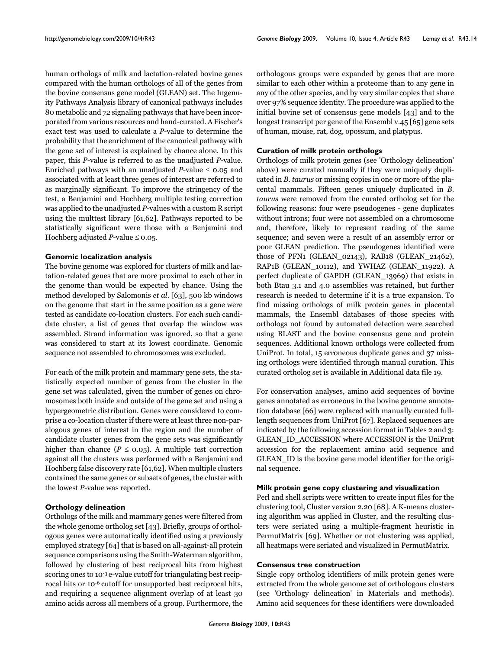human orthologs of milk and lactation-related bovine genes compared with the human orthologs of all of the genes from the bovine consensus gene model (GLEAN) set. The Ingenuity Pathways Analysis library of canonical pathways includes 80 metabolic and 72 signaling pathways that have been incorporated from various resources and hand-curated. A Fischer's exact test was used to calculate a *P*-value to determine the probability that the enrichment of the canonical pathway with the gene set of interest is explained by chance alone. In this paper, this *P*-value is referred to as the unadjusted *P*-value. Enriched pathways with an unadjusted *P*-value  $\leq$  0.05 and associated with at least three genes of interest are referred to as marginally significant. To improve the stringency of the test, a Benjamini and Hochberg multiple testing correction was applied to the unadjusted *P*-values with a custom R script using the multtest library [61,62]. Pathways reported to be statistically significant were those with a Benjamini and Hochberg adjusted  $P$ -value  $\leq$  0.05.

# **Genomic localization analysis**

The bovine genome was explored for clusters of milk and lactation-related genes that are more proximal to each other in the genome than would be expected by chance. Using the method developed by Salomonis *et al*. [63], 500 kb windows on the genome that start in the same position as a gene were tested as candidate co-location clusters. For each such candidate cluster, a list of genes that overlap the window was assembled. Strand information was ignored, so that a gene was considered to start at its lowest coordinate. Genomic sequence not assembled to chromosomes was excluded.

For each of the milk protein and mammary gene sets, the statistically expected number of genes from the cluster in the gene set was calculated, given the number of genes on chromosomes both inside and outside of the gene set and using a hypergeometric distribution. Genes were considered to comprise a co-location cluster if there were at least three non-paralogous genes of interest in the region and the number of candidate cluster genes from the gene sets was significantly higher than chance ( $P \le 0.05$ ). A multiple test correction against all the clusters was performed with a Benjamini and Hochberg false discovery rate [61,62]. When multiple clusters contained the same genes or subsets of genes, the cluster with the lowest *P*-value was reported.

#### **Orthology delineation**

Orthologs of the milk and mammary genes were filtered from the whole genome ortholog set [43]. Briefly, groups of orthologous genes were automatically identified using a previously employed strategy [64] that is based on all-against-all protein sequence comparisons using the Smith-Waterman algorithm, followed by clustering of best reciprocal hits from highest scoring ones to 10-3 e-value cutoff for triangulating best reciprocal hits or 10-6 cutoff for unsupported best reciprocal hits, and requiring a sequence alignment overlap of at least 30 amino acids across all members of a group. Furthermore, the

orthologous groups were expanded by genes that are more similar to each other within a proteome than to any gene in any of the other species, and by very similar copies that share over 97% sequence identity. The procedure was applied to the initial bovine set of consensus gene models [43] and to the longest transcript per gene of the Ensembl v.45 [65] gene sets of human, mouse, rat, dog, opossum, and platypus.

# **Curation of milk protein orthologs**

Orthologs of milk protein genes (see 'Orthology delineation' above) were curated manually if they were uniquely duplicated in *B. taurus* or missing copies in one or more of the placental mammals. Fifteen genes uniquely duplicated in *B. taurus* were removed from the curated ortholog set for the following reasons: four were pseudogenes - gene duplicates without introns; four were not assembled on a chromosome and, therefore, likely to represent reading of the same sequence; and seven were a result of an assembly error or poor GLEAN prediction. The pseudogenes identified were those of PFN1 (GLEAN\_02143), RAB18 (GLEAN\_21462), RAP1B (GLEAN\_10112), and YWHAZ (GLEAN\_11922). A perfect duplicate of GAPDH (GLEAN\_13969) that exists in both Btau 3.1 and 4.0 assemblies was retained, but further research is needed to determine if it is a true expansion. To find missing orthologs of milk protein genes in placental mammals, the Ensembl databases of those species with orthologs not found by automated detection were searched using BLAST and the bovine consensus gene and protein sequences. Additional known orthologs were collected from UniProt. In total, 15 erroneous duplicate genes and 37 missing orthologs were identified through manual curation. This curated ortholog set is available in Additional data file 19.

For conservation analyses, amino acid sequences of bovine genes annotated as erroneous in the bovine genome annotation database [66] were replaced with manually curated fulllength sequences from UniProt [67]. Replaced sequences are indicated by the following accession format in Tables 2 and 3: GLEAN\_ID\_ACCESSION where ACCESSION is the UniProt accession for the replacement amino acid sequence and GLEAN\_ID is the bovine gene model identifier for the original sequence.

#### **Milk protein gene copy clustering and visualization**

Perl and shell scripts were written to create input files for the clustering tool, Cluster version 2.20 [68]. A K-means clustering algorithm was applied in Cluster, and the resulting clusters were seriated using a multiple-fragment heuristic in PermutMatrix [69]. Whether or not clustering was applied, all heatmaps were seriated and visualized in PermutMatrix.

#### **Consensus tree construction**

Single copy ortholog identifiers of milk protein genes were extracted from the whole genome set of orthologous clusters (see 'Orthology delineation' in Materials and methods). Amino acid sequences for these identifiers were downloaded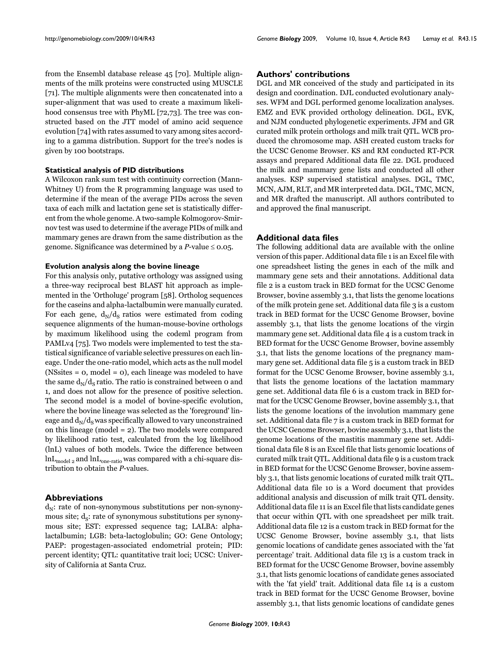from the Ensembl database release 45 [70]. Multiple alignments of the milk proteins were constructed using MUSCLE [71]. The multiple alignments were then concatenated into a super-alignment that was used to create a maximum likelihood consensus tree with PhyML [72,73]. The tree was constructed based on the JTT model of amino acid sequence evolution [74] with rates assumed to vary among sites according to a gamma distribution. Support for the tree's nodes is given by 100 bootstraps.

#### **Statistical analysis of PID distributions**

A Wilcoxon rank sum test with continuity correction (Mann-Whitney U) from the R programming language was used to determine if the mean of the average PIDs across the seven taxa of each milk and lactation gene set is statistically different from the whole genome. A two-sample Kolmogorov-Smirnov test was used to determine if the average PIDs of milk and mammary genes are drawn from the same distribution as the genome. Significance was determined by a *P*-value  $\leq 0.05$ .

#### **Evolution analysis along the bovine lineage**

For this analysis only, putative orthology was assigned using a three-way reciprocal best BLAST hit approach as implemented in the 'Ortholuge' program [58]. Ortholog sequences for the caseins and alpha-lactalbumin were manually curated. For each gene,  $d_N/d_S$  ratios were estimated from coding sequence alignments of the human-mouse-bovine orthologs by maximum likelihood using the codeml program from PAMLv4 [75]. Two models were implemented to test the statistical significance of variable selective pressures on each lineage. Under the one-ratio model, which acts as the null model  $(NSsites = 0, model = 0)$ , each lineage was modeled to have the same  $d_N/d_S$  ratio. The ratio is constrained between 0 and 1, and does not allow for the presence of positive selection. The second model is a model of bovine-specific evolution, where the bovine lineage was selected as the 'foreground' lineage and  $d_N/d_S$  was specifically allowed to vary unconstrained on this lineage (model = 2). The two models were compared by likelihood ratio test, calculated from the log likelihood (lnL) values of both models. Twice the difference between  $\ln\rm{L}_{\rm{model}$   $_2$  and  $\ln\rm{L}_{\rm{one-ratio}}$  was compared with a chi-square distribution to obtain the *P*-values.

# **Abbreviations**

 $d_N$ : rate of non-synonymous substitutions per non-synonymous site;  $d_S$ : rate of synonymous substitutions per synonymous site; EST: expressed sequence tag; LALBA: alphalactalbumin; LGB: beta-lactoglobulin; GO: Gene Ontology; PAEP: progestagen-associated endometrial protein; PID: percent identity; QTL: quantitative trait loci; UCSC: University of California at Santa Cruz.

# **Authors' contributions**

DGL and MR conceived of the study and participated in its design and coordination. DJL conducted evolutionary analyses. WFM and DGL performed genome localization analyses. EMZ and EVK provided orthology delineation. DGL, EVK, and NJM conducted phylogenetic experiments. JFM and GR curated milk protein orthologs and milk trait QTL. WCB produced the chromosome map. ASH created custom tracks for the UCSC Genome Browser. KS and RM conducted RT-PCR assays and prepared Additional data file 22. DGL produced the milk and mammary gene lists and conducted all other analyses. KSP supervised statistical analyses. DGL, TMC, MCN, AJM, RLT, and MR interpreted data. DGL, TMC, MCN, and MR drafted the manuscript. All authors contributed to and approved the final manuscript.

# **Additional data files**

The following additional data are available with the online version of this paper. Additional data file 1 is an Excel file with one spreadsheet listing the genes in each of the milk and mammary gene sets and their annotations. Additional data file 2 is a custom track in BED format for the UCSC Genome Browser, bovine assembly 3.1, that lists the genome locations of the milk protein gene set. Additional data file 3 is a custom track in BED format for the UCSC Genome Browser, bovine assembly 3.1, that lists the genome locations of the virgin mammary gene set. Additional data file 4 is a custom track in BED format for the UCSC Genome Browser, bovine assembly 3.1, that lists the genome locations of the pregnancy mammary gene set. Additional data file 5 is a custom track in BED format for the UCSC Genome Browser, bovine assembly 3.1, that lists the genome locations of the lactation mammary gene set. Additional data file 6 is a custom track in BED format for the UCSC Genome Browser, bovine assembly 3.1, that lists the genome locations of the involution mammary gene set. Additional data file 7 is a custom track in BED format for the UCSC Genome Browser, bovine assembly 3.1, that lists the genome locations of the mastitis mammary gene set. Additional data file 8 is an Excel file that lists genomic locations of curated milk trait QTL. Additional data file 9 is a custom track in BED format for the UCSC Genome Browser, bovine assembly 3.1, that lists genomic locations of curated milk trait QTL. Additional data file 10 is a Word document that provides additional analysis and discussion of milk trait QTL density. Additional data file 11 is an Excel file that lists candidate genes that occur within QTL with one spreadsheet per milk trait. Additional data file 12 is a custom track in BED format for the UCSC Genome Browser, bovine assembly 3.1, that lists genomic locations of candidate genes associated with the 'fat percentage' trait. Additional data file 13 is a custom track in BED format for the UCSC Genome Browser, bovine assembly 3.1, that lists genomic locations of candidate genes associated with the 'fat yield' trait. Additional data file 14 is a custom track in BED format for the UCSC Genome Browser, bovine assembly 3.1, that lists genomic locations of candidate genes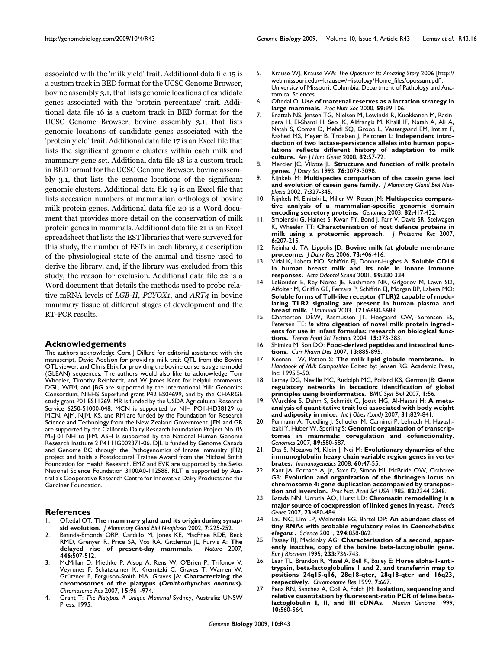associated with the 'milk yield' trait. Additional data file 15 is a custom track in BED format for the UCSC Genome Browser, bovine assembly 3.1, that lists genomic locations of candidate genes associated with the 'protein percentage' trait. Additional data file 16 is a custom track in BED format for the UCSC Genome Browser, bovine assembly 3.1, that lists genomic locations of candidate genes associated with the 'protein yield' trait. Additional data file 17 is an Excel file that lists the significant genomic clusters within each milk and mammary gene set. Additional data file 18 is a custom track in BED format for the UCSC Genome Browser, bovine assembly 3.1, that lists the genome locations of the significant genomic clusters. Additional data file 19 is an Excel file that lists accession numbers of mammalian orthologs of bovine milk protein genes. Additional data file 20 is a Word document that provides more detail on the conservation of milk protein genes in mammals. Additional data file 21 is an Excel spreadsheet that lists the EST libraries that were surveyed for this study, the number of ESTs in each library, a description of the physiological state of the animal and tissue used to derive the library, and, if the library was excluded from this study, the reason for exclusion. Additional data file 22 is a Word document that details the methods used to probe relative mRNA levels of *LGB-II*, *PCYOX1*, and *ART4* in bovine mammary tissue at different stages of development and the RT-PCR results.

#### **Acknowledgements**

The authors acknowledge Cora J Dillard for editorial assistance with the manuscript, David Adelson for providing milk trait QTL from the Bovine QTL viewer, and Chris Elsik for providing the bovine consensus gene model (GLEAN) sequences. The authors would also like to acknowledge Tom Wheeler, Timothy Reinhardt, and W James Kent for helpful comments. DGL, WFM, and JBG are supported by the International Milk Genomics Consortium, NIEHS Superfund grant P42 ES04699, and by the CHARGE study grant P01 ES11269. MR is funded by the USDA Agricultural Research Service 6250-51000-048. MCN is supported by NIH PO1-HD38129 to MCN. AJM, NJM, KS, and RM are funded by the Foundation for Research Science and Technology from the New Zealand Government. JFM and GR are supported by the California Dairy Research Foundation Project No. 05 MEJ-01-NH to JFM. ASH is supported by the National Human Genome Research Institute 2 P41 HG002371-06. DJL is funded by Genome Canada and Genome BC through the Pathogenomics of Innate Immunity (PI2) project and holds a Postdoctoral Trainee Award from the Michael Smith Foundation for Health Research. EMZ and EVK are supported by the Swiss National Science Foundation 3100A0-112588. RLT is supported by Australia's Cooperative Research Centre for Innovative Dairy Products and the Gardiner Foundation.

#### **References**

- Oftedal OT: [The mammary gland and its origin during synap](http://www.ncbi.nlm.nih.gov/entrez/query.fcgi?cmd=Retrieve&db=PubMed&dopt=Abstract&list_uids=12751889)**[sid evolution.](http://www.ncbi.nlm.nih.gov/entrez/query.fcgi?cmd=Retrieve&db=PubMed&dopt=Abstract&list_uids=12751889)** *J Mammary Gland Biol Neoplasia* 2002, **7:**225-252.
- 2. Bininda-Emonds ORP, Cardillo M, Jones KE, MacPhee RDE, Beck RMD, Grenyer R, Price SA, Vos RA, Gittleman JL, Purvis A: **[The](http://www.ncbi.nlm.nih.gov/entrez/query.fcgi?cmd=Retrieve&db=PubMed&dopt=Abstract&list_uids=17392779) [delayed rise of present-day mammals.](http://www.ncbi.nlm.nih.gov/entrez/query.fcgi?cmd=Retrieve&db=PubMed&dopt=Abstract&list_uids=17392779)** *Nature* 2007, **446:**507-512.
- <span id="page-15-0"></span>3. McMillan D, Miethke P, Alsop A, Rens W, O'Brien P, Trifonov V, Veyrunes F, Schatzkamer K, Kremitzki C, Graves T, Warren W, Grützner F, Ferguson-Smith MA, Graves JA: **Characterizing the chromosomes of the platypus (***Ornithorhynchus anatinus***[\).](http://www.ncbi.nlm.nih.gov/entrez/query.fcgi?cmd=Retrieve&db=PubMed&dopt=Abstract&list_uids=18185982)** *Chromosome Res* 2007, **15:**961-974.
- 4. Grant T: *The Platypus: A Unique Mammal* Sydney, Australia: UNSW Press; 1995.
- 5. Krause WJ, Krause WA: *The Opossum: Its Amazing Story* [2006 \[http://](http://web.missouri.edu/~krausew/Histology/Home_files/opossum.pdf) web.missouri.edu/~krausew/Histology/Home\_files/opossum.pdf]. [University of Missouri, Columbia, Department of Pathology and Ana](http://web.missouri.edu/~krausew/Histology/Home_files/opossum.pdf)tomical Sciences
- 6. Oftedal O: **[Use of maternal reserves as a lactation strategy in](http://www.ncbi.nlm.nih.gov/entrez/query.fcgi?cmd=Retrieve&db=PubMed&dopt=Abstract&list_uids=10828179) [large mammals.](http://www.ncbi.nlm.nih.gov/entrez/query.fcgi?cmd=Retrieve&db=PubMed&dopt=Abstract&list_uids=10828179)** *Proc Nutr Soc* 2000, **59:**99-106.
- 7. Enattah NS, Jensen TG, Nielsen M, Lewinski R, Kuokkanen M, Rasinpera H, El-Shanti H, Seo JK, Alifrangis M, Khalil IF, Natah A, Ali A, Natah S, Comas D, Mehdi SQ, Groop L, Vestergaard EM, Imtiaz F, Rashed MS, Meyer B, Troelsen J, Peltonen L: **[Independent intro](http://www.ncbi.nlm.nih.gov/entrez/query.fcgi?cmd=Retrieve&db=PubMed&dopt=Abstract&list_uids=18179885)[duction of two lactase-persistence alleles into human popu](http://www.ncbi.nlm.nih.gov/entrez/query.fcgi?cmd=Retrieve&db=PubMed&dopt=Abstract&list_uids=18179885)lations reflects different history of adaptation to milk [culture.](http://www.ncbi.nlm.nih.gov/entrez/query.fcgi?cmd=Retrieve&db=PubMed&dopt=Abstract&list_uids=18179885)** *Am J Hum Genet* 2008, **82:**57-72.
- 8. Mercier JC, Vilotte JL: **[Structure and function of milk protein](http://www.ncbi.nlm.nih.gov/entrez/query.fcgi?cmd=Retrieve&db=PubMed&dopt=Abstract&list_uids=8227632) [genes.](http://www.ncbi.nlm.nih.gov/entrez/query.fcgi?cmd=Retrieve&db=PubMed&dopt=Abstract&list_uids=8227632)** *J Dairy Sci* 1993, **76:**3079-3098.
- 9. Rijnkels M: **[Multispecies comparison of the casein gene loci](http://www.ncbi.nlm.nih.gov/entrez/query.fcgi?cmd=Retrieve&db=PubMed&dopt=Abstract&list_uids=12751895) [and evolution of casein gene family.](http://www.ncbi.nlm.nih.gov/entrez/query.fcgi?cmd=Retrieve&db=PubMed&dopt=Abstract&list_uids=12751895)** *J Mammary Gland Biol Neoplasia* 2002, **7:**327-345.
- 10. Rijnkels M, Elnitski L, Miller W, Rosen JM: **[Multispecies compara](http://www.ncbi.nlm.nih.gov/entrez/query.fcgi?cmd=Retrieve&db=PubMed&dopt=Abstract&list_uids=13679022)[tive analysis of a mammalian-specific genomic domain](http://www.ncbi.nlm.nih.gov/entrez/query.fcgi?cmd=Retrieve&db=PubMed&dopt=Abstract&list_uids=13679022) [encoding secretory proteins.](http://www.ncbi.nlm.nih.gov/entrez/query.fcgi?cmd=Retrieve&db=PubMed&dopt=Abstract&list_uids=13679022)** *Genomics* 2003, **82:**417-432.
- 11. Smolenski G, Haines S, Kwan FY, Bond J, Farr V, Davis SR, Stelwagen K, Wheeler TT: **[Characterisation of host defence proteins in](http://www.ncbi.nlm.nih.gov/entrez/query.fcgi?cmd=Retrieve&db=PubMed&dopt=Abstract&list_uids=17203965) [milk using a proteomic approach.](http://www.ncbi.nlm.nih.gov/entrez/query.fcgi?cmd=Retrieve&db=PubMed&dopt=Abstract&list_uids=17203965)** *J Proteome Res* 2007, **6:**207-215.
- 12. Reinhardt TA, Lippolis JD: **[Bovine milk fat globule membrane](http://www.ncbi.nlm.nih.gov/entrez/query.fcgi?cmd=Retrieve&db=PubMed&dopt=Abstract&list_uids=16834814) [proteome.](http://www.ncbi.nlm.nih.gov/entrez/query.fcgi?cmd=Retrieve&db=PubMed&dopt=Abstract&list_uids=16834814)** *J Dairy Res* 2006, **73:**406-416.
- 13. Vidal K, Labeta MO, Schiffrin EJ, Donnet-Hughes A: **[Soluble CD14](http://www.ncbi.nlm.nih.gov/entrez/query.fcgi?cmd=Retrieve&db=PubMed&dopt=Abstract&list_uids=11680654) [in human breast milk and its role in innate immune](http://www.ncbi.nlm.nih.gov/entrez/query.fcgi?cmd=Retrieve&db=PubMed&dopt=Abstract&list_uids=11680654) [responses.](http://www.ncbi.nlm.nih.gov/entrez/query.fcgi?cmd=Retrieve&db=PubMed&dopt=Abstract&list_uids=11680654)** *Acta Odontol Scand* 2001, **59:**330-334.
- 14. LeBouder E, Rey-Nores JE, Rushmere NK, Grigorov M, Lawn SD, Affolter M, Griffin GE, Ferrara P, Schiffrin EJ, Morgan BP, Labéta MO: **[Soluble forms of Toll-like receptor \(TLR\)2 capable of modu](http://www.ncbi.nlm.nih.gov/entrez/query.fcgi?cmd=Retrieve&db=PubMed&dopt=Abstract&list_uids=14662871)lating TLR2 signaling are present in human plasma and [breast milk.](http://www.ncbi.nlm.nih.gov/entrez/query.fcgi?cmd=Retrieve&db=PubMed&dopt=Abstract&list_uids=14662871)** *J Immunol* 2003, **171:**6680-6689.
- Chatterton DEW, Rasmussen JT, Heegaard CW, Sorensen ES, Petersen TE: *In vitro* **digestion of novel milk protein ingredients for use in infant formulas: research on biological functions.** *Trends Food Sci Technol* 2004, **15:**373-383.
- 16. Shimizu M, Son DO: **[Food-derived peptides and intestinal func](http://www.ncbi.nlm.nih.gov/entrez/query.fcgi?cmd=Retrieve&db=PubMed&dopt=Abstract&list_uids=17430188)[tions.](http://www.ncbi.nlm.nih.gov/entrez/query.fcgi?cmd=Retrieve&db=PubMed&dopt=Abstract&list_uids=17430188)** *Curr Pharm Des* 2007, **13:**885-895.
- 17. Keenan TW, Patton S: **The milk lipid globule membrane.** In *Handbook of Milk Composition* Edited by: Jensen RG. Academic Press, Inc; 1995:5-50.
- 18. Lemay DG, Neville MC, Rudolph MC, Pollard KS, German JB: **[Gene](http://www.ncbi.nlm.nih.gov/entrez/query.fcgi?cmd=Retrieve&db=PubMed&dopt=Abstract&list_uids=18039394) [regulatory networks in lactation: identification of global](http://www.ncbi.nlm.nih.gov/entrez/query.fcgi?cmd=Retrieve&db=PubMed&dopt=Abstract&list_uids=18039394) [principles using bioinformatics.](http://www.ncbi.nlm.nih.gov/entrez/query.fcgi?cmd=Retrieve&db=PubMed&dopt=Abstract&list_uids=18039394)** *BMC Syst Biol* 2007, **1:**56.
- 19. Wuschke S, Dahm S, Schmidt C, Joost HG, Al-Hasani H: **[A meta](http://www.ncbi.nlm.nih.gov/entrez/query.fcgi?cmd=Retrieve&db=PubMed&dopt=Abstract&list_uids=17060928)[analysis of quantitative trait loci associated with body weight](http://www.ncbi.nlm.nih.gov/entrez/query.fcgi?cmd=Retrieve&db=PubMed&dopt=Abstract&list_uids=17060928) [and adiposity in mice.](http://www.ncbi.nlm.nih.gov/entrez/query.fcgi?cmd=Retrieve&db=PubMed&dopt=Abstract&list_uids=17060928)** *Int J Obes (Lond)* 2007, **31:**829-841.
- 20. Purmann A, Toedling J, Schueler M, Carninci P, Lehrach H, Hayashizaki Y, Huber W, Sperling S: **[Genomic organization of transcrip](http://www.ncbi.nlm.nih.gov/entrez/query.fcgi?cmd=Retrieve&db=PubMed&dopt=Abstract&list_uids=17369017)[tomes in mammals: coregulation and cofunctionality.](http://www.ncbi.nlm.nih.gov/entrez/query.fcgi?cmd=Retrieve&db=PubMed&dopt=Abstract&list_uids=17369017)** *Genomics* 2007, **89:**580-587.
- 21. Das S, Nozawa M, Klein J, Nei M: **[Evolutionary dynamics of the](http://www.ncbi.nlm.nih.gov/entrez/query.fcgi?cmd=Retrieve&db=PubMed&dopt=Abstract&list_uids=18196235) [immunoglobulin heavy chain variable region genes in verte](http://www.ncbi.nlm.nih.gov/entrez/query.fcgi?cmd=Retrieve&db=PubMed&dopt=Abstract&list_uids=18196235)[brates.](http://www.ncbi.nlm.nih.gov/entrez/query.fcgi?cmd=Retrieve&db=PubMed&dopt=Abstract&list_uids=18196235)** *Immunogenetics* 2008, **60:**47-55.
- Kant JA, Fornace AJ Jr, Saxe D, Simon MI, McBride OW, Crabtree GR: **[Evolution and organization of the fibrinogen locus on](http://www.ncbi.nlm.nih.gov/entrez/query.fcgi?cmd=Retrieve&db=PubMed&dopt=Abstract&list_uids=2986113) [chromosome 4: gene duplication accompanied by transposi](http://www.ncbi.nlm.nih.gov/entrez/query.fcgi?cmd=Retrieve&db=PubMed&dopt=Abstract&list_uids=2986113)[tion and inversion.](http://www.ncbi.nlm.nih.gov/entrez/query.fcgi?cmd=Retrieve&db=PubMed&dopt=Abstract&list_uids=2986113)** *Proc Natl Acad Sci USA* 1985, **82:**2344-2348.
- 23. Batada NN, Urrutia AO, Hurst LD: **[Chromatin remodelling is a](http://www.ncbi.nlm.nih.gov/entrez/query.fcgi?cmd=Retrieve&db=PubMed&dopt=Abstract&list_uids=17822800) [major source of coexpression of linked genes in yeast.](http://www.ncbi.nlm.nih.gov/entrez/query.fcgi?cmd=Retrieve&db=PubMed&dopt=Abstract&list_uids=17822800)** *Trends Genet* 2007, **23:**480-484.
- <span id="page-15-1"></span>24. Lau NC, Lim LP, Weinstein EG, Bartel DP: **An abundant class of tiny RNAs with probable regulatory roles in** *Caenorhabditis elegans* **[.](http://www.ncbi.nlm.nih.gov/entrez/query.fcgi?cmd=Retrieve&db=PubMed&dopt=Abstract&list_uids=11679671)** *Science* 2001, **294:**858-862.
- 25. Passey RJ, Mackinlay AG: **[Characterisation of a second, appar](http://www.ncbi.nlm.nih.gov/entrez/query.fcgi?cmd=Retrieve&db=PubMed&dopt=Abstract&list_uids=8521836)[ently inactive, copy of the bovine beta-lactoglobulin gene.](http://www.ncbi.nlm.nih.gov/entrez/query.fcgi?cmd=Retrieve&db=PubMed&dopt=Abstract&list_uids=8521836)** *Eur J Biochem* 1995, **233:**736-743.
- 26. Lear TL, Brandon R, Masel A, Bell K, Bailey E: **[Horse alpha-1-anti](http://www.ncbi.nlm.nih.gov/entrez/query.fcgi?cmd=Retrieve&db=PubMed&dopt=Abstract&list_uids=10628669)[trypsin, beta-lactoglobulins 1 and 2, and transferrin map to](http://www.ncbi.nlm.nih.gov/entrez/query.fcgi?cmd=Retrieve&db=PubMed&dopt=Abstract&list_uids=10628669) positions 24q15-q16, 28q18-qter, 28q18-qter and 16q23, [respectively.](http://www.ncbi.nlm.nih.gov/entrez/query.fcgi?cmd=Retrieve&db=PubMed&dopt=Abstract&list_uids=10628669)** *Chromosome Res* 1999, **7:**667.
- 27. Pena RN, Sanchez A, Coll A, Folch JM: **[Isolation, sequencing and](http://www.ncbi.nlm.nih.gov/entrez/query.fcgi?cmd=Retrieve&db=PubMed&dopt=Abstract&list_uids=10341085) [relative quantitation by fluorescent-ratio PCR of feline beta](http://www.ncbi.nlm.nih.gov/entrez/query.fcgi?cmd=Retrieve&db=PubMed&dopt=Abstract&list_uids=10341085)[lactoglobulin I, II, and III cDNAs.](http://www.ncbi.nlm.nih.gov/entrez/query.fcgi?cmd=Retrieve&db=PubMed&dopt=Abstract&list_uids=10341085)** *Mamm Genome* 1999, **10:**560-564.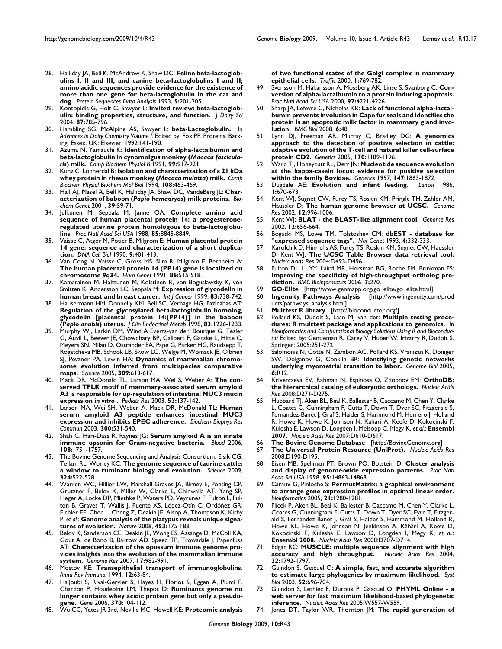- 28. Halliday JA, Bell K, McAndrew K, Shaw DC: **Feline beta-lactoglobulins I, II and III, and canine beta-lactoglobulins I and II; amino acidic sequences provide evidence for the existence of more than one gene for beta-lactoglobulin in the cat and dog.** *Protein Sequences Data Analysis* 1993, **5:**201-205.
- 29. Kontopidis G, Holt C, Sawyer L: **[Invited review: beta-lactoglob](http://www.ncbi.nlm.nih.gov/entrez/query.fcgi?cmd=Retrieve&db=PubMed&dopt=Abstract&list_uids=15259212)[ulin: binding properties, structure, and function.](http://www.ncbi.nlm.nih.gov/entrez/query.fcgi?cmd=Retrieve&db=PubMed&dopt=Abstract&list_uids=15259212)** *J Dairy Sci* 2004, **87:**785-796.
- 30. Hambling SG, McAlpine AS, Sawyer L: **beta-Lactoglobulin.** In *Advances in Dairy Chemistry Volume I*. Edited by: Fox PF. Proteins. Barking, Essex, UK: Elsevier; 1992:141-190.
- <span id="page-16-0"></span>31. Azuma N, Yamauchi K: **Identification of alpha-lactalbumin and beta-lactoglobulin in cynomolgus monkey (***Macaca fascicularis***[\) milk.](http://www.ncbi.nlm.nih.gov/entrez/query.fcgi?cmd=Retrieve&db=PubMed&dopt=Abstract&list_uids=1790682)** *Comp Biochem Physiol B* 1991, **99:**917-921.
- 32. Kunz C, Lonnerdal B: **Isolation and characterization of a 21 kDa whey protein in rhesus monkey (***Macaca mulatta***[\) milk.](http://www.ncbi.nlm.nih.gov/entrez/query.fcgi?cmd=Retrieve&db=PubMed&dopt=Abstract&list_uids=7953066)** *Comp Biochem Physiol Biochem Mol Biol* 1994, **108:**463-469.
- <span id="page-16-1"></span>33. Hall AJ, Masel A, Bell K, Halliday JA, Shaw DC, VandeBerg JL: **Characterization of baboon (***Papio hamadryas***[\) milk proteins.](http://www.ncbi.nlm.nih.gov/entrez/query.fcgi?cmd=Retrieve&db=PubMed&dopt=Abstract&list_uids=11444021)** *Biochem Genet* 2001, **39:**59-71.
- 34. Julkunen M, Seppala M, Janne OA: **[Complete amino acid](http://www.ncbi.nlm.nih.gov/entrez/query.fcgi?cmd=Retrieve&db=PubMed&dopt=Abstract&list_uids=3194393) [sequence of human placental protein 14: a progesterone](http://www.ncbi.nlm.nih.gov/entrez/query.fcgi?cmd=Retrieve&db=PubMed&dopt=Abstract&list_uids=3194393)regulated uterine protein homologous to beta-lactoglobu[lins.](http://www.ncbi.nlm.nih.gov/entrez/query.fcgi?cmd=Retrieve&db=PubMed&dopt=Abstract&list_uids=3194393)** *Proc Natl Acad Sci USA* 1988, **85:**8845-8849.
- 35. Vaisse C, Atger M, Potier B, Milgrom E: **[Human placental protein](http://www.ncbi.nlm.nih.gov/entrez/query.fcgi?cmd=Retrieve&db=PubMed&dopt=Abstract&list_uids=2206398) [14 gene: sequence and characterization of a short duplica](http://www.ncbi.nlm.nih.gov/entrez/query.fcgi?cmd=Retrieve&db=PubMed&dopt=Abstract&list_uids=2206398)[tion.](http://www.ncbi.nlm.nih.gov/entrez/query.fcgi?cmd=Retrieve&db=PubMed&dopt=Abstract&list_uids=2206398)** *DNA Cell Biol* 1990, **9:**401-413.
- 36. Van Cong N, Vaisse C, Gross MS, Slim R, Milgrom E, Bernheim A: **[The human placental protein 14 \(PP14\) gene is localized on](http://www.ncbi.nlm.nih.gov/entrez/query.fcgi?cmd=Retrieve&db=PubMed&dopt=Abstract&list_uids=2016092) [chromosome 9q34.](http://www.ncbi.nlm.nih.gov/entrez/query.fcgi?cmd=Retrieve&db=PubMed&dopt=Abstract&list_uids=2016092)** *Hum Genet* 1991, **86:**515-518.
- Kamarainen M, Halttunen M, Koistinen R, von Boguslawsky K, von Smitten K, Andersson LC, Seppala M: **[Expression of glycodelin in](http://www.ncbi.nlm.nih.gov/entrez/query.fcgi?cmd=Retrieve&db=PubMed&dopt=Abstract&list_uids=10597188) [human breast and breast cancer.](http://www.ncbi.nlm.nih.gov/entrez/query.fcgi?cmd=Retrieve&db=PubMed&dopt=Abstract&list_uids=10597188)** *Int J Cancer* 1999, **83:**738-742.
- <span id="page-16-2"></span>38. Hausermann HM, Donnelly KM, Bell SC, Verhage HG, Fazleabas AT: **Regulation of the glycosylated beta-lactoglobulin homolog, glycodelin [placental protein 14:(PP14)] in the baboon (***Papio anubis***[\) uterus.](http://www.ncbi.nlm.nih.gov/entrez/query.fcgi?cmd=Retrieve&db=PubMed&dopt=Abstract&list_uids=9543146)** *J Clin Endocrinol Metab* 1998, **83:**1226-1233.
- 39. Murphy WJ, Larkin DM, Wind A Everts-van der, Bourque G, Tesler G, Auvil L, Beever JE, Chowdhary BP, Galibert F, Gatzke L, Hitte C, Meyers SN, Milan D, Ostrander EA, Pape G, Parker HG, Raudsepp T, Rogatcheva MB, Schook LB, Skow LC, Welge M, Womack JE, O'brien SJ, Pevzner PA, Lewin HA: **[Dynamics of mammalian chromo](http://www.ncbi.nlm.nih.gov/entrez/query.fcgi?cmd=Retrieve&db=PubMed&dopt=Abstract&list_uids=16040707)[some evolution inferred from multispecies comparative](http://www.ncbi.nlm.nih.gov/entrez/query.fcgi?cmd=Retrieve&db=PubMed&dopt=Abstract&list_uids=16040707) [maps.](http://www.ncbi.nlm.nih.gov/entrez/query.fcgi?cmd=Retrieve&db=PubMed&dopt=Abstract&list_uids=16040707)** *Science* 2005, **309:**613-617.
- <span id="page-16-3"></span>40. Mack DR, McDonald TL, Larson MA, Wei S, Weber A: **The conserved TFLK motif of mammary-associated serum amyloid A3 is responsible for up-regulation of intestinal MUC3 mucin expression** *in vitro* **[.](http://www.ncbi.nlm.nih.gov/entrez/query.fcgi?cmd=Retrieve&db=PubMed&dopt=Abstract&list_uids=12508093)** *Pediatr Res* 2003, **53:**137-142.
- 41. Larson MA, Wei SH, Weber A, Mack DR, McDonald TL: **[Human](http://www.ncbi.nlm.nih.gov/entrez/query.fcgi?cmd=Retrieve&db=PubMed&dopt=Abstract&list_uids=12504116) [serum amyloid A3 peptide enhances intestinal MUC3](http://www.ncbi.nlm.nih.gov/entrez/query.fcgi?cmd=Retrieve&db=PubMed&dopt=Abstract&list_uids=12504116) [expression and inhibits EPEC adherence.](http://www.ncbi.nlm.nih.gov/entrez/query.fcgi?cmd=Retrieve&db=PubMed&dopt=Abstract&list_uids=12504116)** *Biochem Biophys Res Commun* 2003, **300:**531-540.
- 42. Shah C, Hari-Dass R, Raynes JG: **[Serum amyloid A is an innate](http://www.ncbi.nlm.nih.gov/entrez/query.fcgi?cmd=Retrieve&db=PubMed&dopt=Abstract&list_uids=16735604) [immune opsonin for Gram-negative bacteria.](http://www.ncbi.nlm.nih.gov/entrez/query.fcgi?cmd=Retrieve&db=PubMed&dopt=Abstract&list_uids=16735604)** *Blood* 2006, **108:**1751-1757.
- 43. The Bovine Genome Sequencing and Analysis Consortium, Elsik CG, Tellam RL, Worley KC: **[The genome sequence of taurine cattle:](http://www.ncbi.nlm.nih.gov/entrez/query.fcgi?cmd=Retrieve&db=PubMed&dopt=Abstract&list_uids=19390049) [a window to ruminant biology and evolution.](http://www.ncbi.nlm.nih.gov/entrez/query.fcgi?cmd=Retrieve&db=PubMed&dopt=Abstract&list_uids=19390049)** *Science* 2009, **324:**522-528.
- 44. Warren WC, Hillier LW, Marshall Graves JA, Birney E, Ponting CP, Grutzner F, Belov K, Miller W, Clarke L, Chinwalla AT, Yang SP, Heger A, Locke DP, Miethke P, Waters PD, Veyrunes F, Fulton L, Fulton B, Graves T, Wallis J, Puente XS, López-Otín C, Ordóñez GR, Eichler EE, Chen L, Cheng Z, Deakin JE, Alsop A, Thompson K, Kirby P, *et al.*: **[Genome analysis of the platypus reveals unique signa](http://www.ncbi.nlm.nih.gov/entrez/query.fcgi?cmd=Retrieve&db=PubMed&dopt=Abstract&list_uids=18464734)[tures of evolution.](http://www.ncbi.nlm.nih.gov/entrez/query.fcgi?cmd=Retrieve&db=PubMed&dopt=Abstract&list_uids=18464734)** *Nature* 2008, **453:**175-183.
- 45. Belov K, Sanderson CE, Deakin JE, Wong ES, Assange D, McColl KA, Gout A, de Bono B, Barrow AD, Speed TP, Trowsdale J, Papenfuss AT: **[Characterization of the opossum immune genome pro](http://www.ncbi.nlm.nih.gov/entrez/query.fcgi?cmd=Retrieve&db=PubMed&dopt=Abstract&list_uids=17495011)[vides insights into the evolution of the mammalian immune](http://www.ncbi.nlm.nih.gov/entrez/query.fcgi?cmd=Retrieve&db=PubMed&dopt=Abstract&list_uids=17495011) [system.](http://www.ncbi.nlm.nih.gov/entrez/query.fcgi?cmd=Retrieve&db=PubMed&dopt=Abstract&list_uids=17495011)** *Genome Res* 2007, **17:**982-991.
- 46. Mostov KE: **[Transepithelial transport of immunoglobulins.](http://www.ncbi.nlm.nih.gov/entrez/query.fcgi?cmd=Retrieve&db=PubMed&dopt=Abstract&list_uids=8011293)** *Annu Rev Immunol* 1994, **12:**63-84.
- 47. Hajjoubi S, Rival-Gervier S, Hayes H, Floriot S, Eggen A, Piumi F, Chardon P, Houdebine LM, Thepot D: **[Ruminants genome no](http://www.ncbi.nlm.nih.gov/entrez/query.fcgi?cmd=Retrieve&db=PubMed&dopt=Abstract&list_uids=16483732) [longer contains whey acidic protein gene but only a pseudo](http://www.ncbi.nlm.nih.gov/entrez/query.fcgi?cmd=Retrieve&db=PubMed&dopt=Abstract&list_uids=16483732)[gene.](http://www.ncbi.nlm.nih.gov/entrez/query.fcgi?cmd=Retrieve&db=PubMed&dopt=Abstract&list_uids=16483732)** *Gene* 2006, **370:**104-112.
- 48. Wu CC, Yates JR 3rd, Neville MC, Howell KE: **[Proteomic analysis](http://www.ncbi.nlm.nih.gov/entrez/query.fcgi?cmd=Retrieve&db=PubMed&dopt=Abstract&list_uids=11208067)**

**[of two functional states of the Golgi complex in mammary](http://www.ncbi.nlm.nih.gov/entrez/query.fcgi?cmd=Retrieve&db=PubMed&dopt=Abstract&list_uids=11208067) [epithelial cells.](http://www.ncbi.nlm.nih.gov/entrez/query.fcgi?cmd=Retrieve&db=PubMed&dopt=Abstract&list_uids=11208067)** *Traffic* 2000, **1:**769-782.

- 49. Svensson M, Hakansson A, Mossberg AK, Linse S, Svanborg C: **[Con](http://www.ncbi.nlm.nih.gov/entrez/query.fcgi?cmd=Retrieve&db=PubMed&dopt=Abstract&list_uids=10760289)[version of alpha-lactalbumin to a protein inducing apoptosis.](http://www.ncbi.nlm.nih.gov/entrez/query.fcgi?cmd=Retrieve&db=PubMed&dopt=Abstract&list_uids=10760289)** *Proc Natl Acad Sci USA* 2000, **97:**4221-4226.
- 50. Sharp JA, Lefevre C, Nicholas KR: **[Lack of functional alpha-lactal](http://www.ncbi.nlm.nih.gov/entrez/query.fcgi?cmd=Retrieve&db=PubMed&dopt=Abstract&list_uids=18986549)[bumin prevents involution in Cape fur seals and identifies the](http://www.ncbi.nlm.nih.gov/entrez/query.fcgi?cmd=Retrieve&db=PubMed&dopt=Abstract&list_uids=18986549) protein is an apoptotic milk factor in mammary gland invo[lution.](http://www.ncbi.nlm.nih.gov/entrez/query.fcgi?cmd=Retrieve&db=PubMed&dopt=Abstract&list_uids=18986549)** *BMC Biol* 2008, **6:**48.
- 51. Lynn DJ, Freeman AR, Murray C, Bradley DG: **[A genomics](http://www.ncbi.nlm.nih.gov/entrez/query.fcgi?cmd=Retrieve&db=PubMed&dopt=Abstract&list_uids=15802510) [approach to the detection of positive selection in cattle:](http://www.ncbi.nlm.nih.gov/entrez/query.fcgi?cmd=Retrieve&db=PubMed&dopt=Abstract&list_uids=15802510) adaptive evolution of the T-cell and natural killer cell-surface [protein CD2.](http://www.ncbi.nlm.nih.gov/entrez/query.fcgi?cmd=Retrieve&db=PubMed&dopt=Abstract&list_uids=15802510)** *Genetics* 2005, **170:**1189-1196.
- 52. Ward TJ, Honeycutt RL, Derr JN: **[Nucleotide sequence evolution](http://www.ncbi.nlm.nih.gov/entrez/query.fcgi?cmd=Retrieve&db=PubMed&dopt=Abstract&list_uids=9409842) [at the kappa-casein locus: evidence for positive selection](http://www.ncbi.nlm.nih.gov/entrez/query.fcgi?cmd=Retrieve&db=PubMed&dopt=Abstract&list_uids=9409842) [within the family Bovidae.](http://www.ncbi.nlm.nih.gov/entrez/query.fcgi?cmd=Retrieve&db=PubMed&dopt=Abstract&list_uids=9409842)** *Genetics* 1997, **147:**1863-1872.
- 53. Dugdale AE: [Evolution and infant feeding.](http://www.ncbi.nlm.nih.gov/entrez/query.fcgi?cmd=Retrieve&db=PubMed&dopt=Abstract&list_uids=2869357) **1:**670-673.
- 54. Kent WJ, Sugnet CW, Furey TS, Roskin KM, Pringle TH, Zahler AM, Haussler D: **[The human genome browser at UCSC.](http://www.ncbi.nlm.nih.gov/entrez/query.fcgi?cmd=Retrieve&db=PubMed&dopt=Abstract&list_uids=12045153)** *Genome Res* 2002, **12:**996-1006.
- 55. Kent WJ: **[BLAT the BLAST-like alignment tool.](http://www.ncbi.nlm.nih.gov/entrez/query.fcgi?cmd=Retrieve&db=PubMed&dopt=Abstract&list_uids=11932250)** *Genome Res* 2002, **12:**656-664.
- 56. Boguski MS, Lowe TM, Tolstoshev CM: **[dbEST database for](http://www.ncbi.nlm.nih.gov/entrez/query.fcgi?cmd=Retrieve&db=PubMed&dopt=Abstract&list_uids=8401577) ["expressed sequence tags".](http://www.ncbi.nlm.nih.gov/entrez/query.fcgi?cmd=Retrieve&db=PubMed&dopt=Abstract&list_uids=8401577)** *Nat Genet* 1993, **4:**332-333.
- 57. Karolchik D, Hinrichs AS, Furey TS, Roskin KM, Sugnet CW, Haussler D, Kent WJ: **[The UCSC Table Browser data retrieval tool.](http://www.ncbi.nlm.nih.gov/entrez/query.fcgi?cmd=Retrieve&db=PubMed&dopt=Abstract&list_uids=14681465)** *Nucleic Acids Res* 2004:D493-D496.
- 58. Fulton DL, Li YY, Laird MR, Horsman BG, Roche FM, Brinkman FS: **[Improving the specificity of high-throughput ortholog pre](http://www.ncbi.nlm.nih.gov/entrez/query.fcgi?cmd=Retrieve&db=PubMed&dopt=Abstract&list_uids=16729895)[diction.](http://www.ncbi.nlm.nih.gov/entrez/query.fcgi?cmd=Retrieve&db=PubMed&dopt=Abstract&list_uids=16729895)** *BMC Bioinformatics* 2006, **7:**270.
- 59. **GO-Elite** [\[http://www.genmapp.org/go\\_elite/go\\_elite.html\]](http://www.genmapp.org/go_elite/go_elite.html)
- 60. **Ingenuity Pathways Analysis** [\[http://www.ingenuity.com/prod](http://www.ingenuity.com/products/pathways_analysis.html) [ucts/pathways\\_analysis.html\]](http://www.ingenuity.com/products/pathways_analysis.html)
- 61. **Multtest R library** [\[http://bioconductor.org/\]](http://bioconductor.org/)
- 62. Pollard KS, Dudoit S, Laan MJ van der: **Multiple testing procedures: R multtest package and applications to genomics.** In *Bioinformatics and Computational Biology Solutions Using R and Bioconductor* Edited by: Gentleman R, Carey V, Huber W, Irizarry R, Dudoit S. Springer; 2005:251-272.
- 63. Salomonis N, Cotte N, Zambon AC, Pollard KS, Vranizan K, Doniger SW, Dolganov G, Conklin BR: **[Identifying genetic networks](http://www.ncbi.nlm.nih.gov/entrez/query.fcgi?cmd=Retrieve&db=PubMed&dopt=Abstract&list_uids=15693941) [underlying myometrial transition to labor.](http://www.ncbi.nlm.nih.gov/entrez/query.fcgi?cmd=Retrieve&db=PubMed&dopt=Abstract&list_uids=15693941)** *Genome Biol* 2005, **6:**R12.
- 64. Kriventseva EV, Rahman N, Espinosa O, Zdobnov EM: **[OrthoDB:](http://www.ncbi.nlm.nih.gov/entrez/query.fcgi?cmd=Retrieve&db=PubMed&dopt=Abstract&list_uids=17947323) [the hierarchical catalog of eukaryotic orthologs.](http://www.ncbi.nlm.nih.gov/entrez/query.fcgi?cmd=Retrieve&db=PubMed&dopt=Abstract&list_uids=17947323)** *Nucleic Acids Res* 2008:D271-D275.
- Hubbard TJ, Aken BL, Beal K, Ballester B, Caccamo M, Chen Y, Clarke L, Coates G, Cunningham F, Cutts T, Down T, Dyer SC, Fitzgerald S, Fernandez-Banet J, Graf S, Haider S, Hammond M, Herrero J, Holland R, Howe K, Howe K, Johnson N, Kahari A, Keefe D, Kokocinski F, Kulesha E, Lawson D, Longden I, Melsopp C, Megy K, *et al.*: **[Ensembl](http://www.ncbi.nlm.nih.gov/entrez/query.fcgi?cmd=Retrieve&db=PubMed&dopt=Abstract&list_uids=17148474) [2007.](http://www.ncbi.nlm.nih.gov/entrez/query.fcgi?cmd=Retrieve&db=PubMed&dopt=Abstract&list_uids=17148474)** *Nucleic Acids Res* 2007:D610-D617.
- 66. **The Bovine Genome Database** [\[http://BovineGenome.org\]](http://BovineGenome.org)
- 67. **[The Universal Protein Resource \(UniProt\).](http://www.ncbi.nlm.nih.gov/entrez/query.fcgi?cmd=Retrieve&db=PubMed&dopt=Abstract&list_uids=18045787)** *Nucleic Acids Res* 2008:D190-D195.
- 68. Eisen MB, Spellman PT, Brown PO, Botstein D: **[Cluster analysis](http://www.ncbi.nlm.nih.gov/entrez/query.fcgi?cmd=Retrieve&db=PubMed&dopt=Abstract&list_uids=9843981) [and display of genome-wide expression patterns.](http://www.ncbi.nlm.nih.gov/entrez/query.fcgi?cmd=Retrieve&db=PubMed&dopt=Abstract&list_uids=9843981)** *Proc Natl Acad Sci USA* 1998, **95:**14863-14868.
- 69. Caraux G, Pinloche S: **[PermutMatrix: a graphical environment](http://www.ncbi.nlm.nih.gov/entrez/query.fcgi?cmd=Retrieve&db=PubMed&dopt=Abstract&list_uids=15546938) [to arrange gene expression profiles in optimal linear order.](http://www.ncbi.nlm.nih.gov/entrez/query.fcgi?cmd=Retrieve&db=PubMed&dopt=Abstract&list_uids=15546938)** *Bioinformatics* 2005, **21:**1280-1281.
- Flicek P, Aken BL, Beal K, Ballester B, Caccamo M, Chen Y, Clarke L, Coates G, Cunningham F, Cutts T, Down T, Dyer SC, Eyre T, Fitzgerald S, Fernandez-Banet J, Gräf S, Haider S, Hammond M, Holland R, Howe KL, Howe K, Johnson N, Jenkinson A, Kähäri A, Keefe D, Kokocinski F, Kulesha E, Lawson D, Longden I, Megy K, *et al.*: **[Ensembl 2008.](http://www.ncbi.nlm.nih.gov/entrez/query.fcgi?cmd=Retrieve&db=PubMed&dopt=Abstract&list_uids=18000006)** *Nucleic Acids Res* 2008:D707-D714.
- 71. Edgar RC: **[MUSCLE: multiple sequence alignment with high](http://www.ncbi.nlm.nih.gov/entrez/query.fcgi?cmd=Retrieve&db=PubMed&dopt=Abstract&list_uids=15034147) [accuracy and high throughput.](http://www.ncbi.nlm.nih.gov/entrez/query.fcgi?cmd=Retrieve&db=PubMed&dopt=Abstract&list_uids=15034147)** *Nucleic Acids Res* 2004, **32:**1792-1797.
- 72. Guindon S, Gascuel O: **[A simple, fast, and accurate algorithm](http://www.ncbi.nlm.nih.gov/entrez/query.fcgi?cmd=Retrieve&db=PubMed&dopt=Abstract&list_uids=14530136) [to estimate large phylogenies by maximum likelihood.](http://www.ncbi.nlm.nih.gov/entrez/query.fcgi?cmd=Retrieve&db=PubMed&dopt=Abstract&list_uids=14530136)** *Syst Biol* 2003, **52:**696-704.
- 73. Guindon S, Lethiec F, Duroux P, Gascuel O: **[PHYML Online a](http://www.ncbi.nlm.nih.gov/entrez/query.fcgi?cmd=Retrieve&db=PubMed&dopt=Abstract&list_uids=15980534) [web server for fast maximum likelihood-based phylogenetic](http://www.ncbi.nlm.nih.gov/entrez/query.fcgi?cmd=Retrieve&db=PubMed&dopt=Abstract&list_uids=15980534) [inference.](http://www.ncbi.nlm.nih.gov/entrez/query.fcgi?cmd=Retrieve&db=PubMed&dopt=Abstract&list_uids=15980534)** *Nucleic Acids Res* 2005:W557-W559.
- 74. Jones DT, Taylor WR, Thornton JM: **[The rapid generation of](http://www.ncbi.nlm.nih.gov/entrez/query.fcgi?cmd=Retrieve&db=PubMed&dopt=Abstract&list_uids=1633570)**